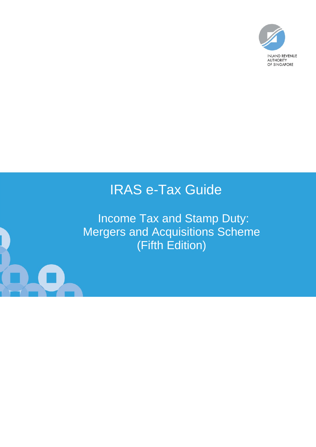

# IRAS e-Tax Guide

Income Tax and Stamp Duty: Mergers and Acquisitions Scheme (Fifth Edition)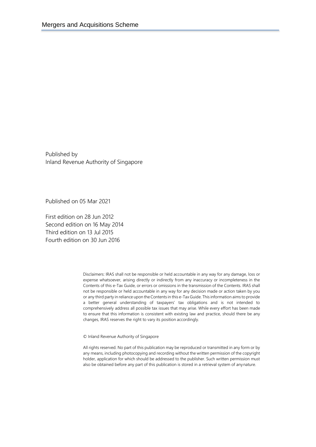Published by Inland Revenue Authority of Singapore

Published on 05 Mar 2021

First edition on 28 Jun 2012 Second edition on 16 May 2014 Third edition on 13 Jul 2015 Fourth edition on 30 Jun 2016

> Disclaimers: IRAS shall not be responsible or held accountable in any way for any damage, loss or expense whatsoever, arising directly or indirectly from any inaccuracy or incompleteness in the Contents of this e-Tax Guide, or errors or omissions in the transmission of the Contents. IRAS shall not be responsible or held accountable in any way for any decision made or action taken by you or any third party in reliance upon the Contents in this e-Tax Guide. This information aims to provide a better general understanding of taxpayers' tax obligations and is not intended to comprehensively address all possible tax issues that may arise. While every effort has been made to ensure that this information is consistent with existing law and practice, should there be any changes, IRAS reserves the right to vary its position accordingly.

© Inland Revenue Authority of Singapore

All rights reserved. No part of this publication may be reproduced or transmitted in any form or by any means, including photocopying and recording without the written permission of the copyright holder, application for which should be addressed to the publisher. Such written permission must also be obtained before any part of this publication is stored in a retrieval system of anynature.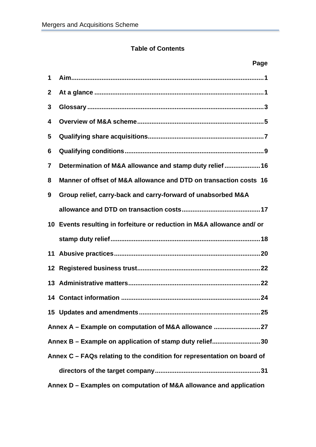# **Table of Contents**

|              | Page                                                                    |  |  |  |  |
|--------------|-------------------------------------------------------------------------|--|--|--|--|
| 1            |                                                                         |  |  |  |  |
| $\mathbf{2}$ |                                                                         |  |  |  |  |
| 3            |                                                                         |  |  |  |  |
| 4            |                                                                         |  |  |  |  |
| 5            |                                                                         |  |  |  |  |
| 6            |                                                                         |  |  |  |  |
| 7            | Determination of M&A allowance and stamp duty relief  16                |  |  |  |  |
| 8            | Manner of offset of M&A allowance and DTD on transaction costs 16       |  |  |  |  |
| 9            | Group relief, carry-back and carry-forward of unabsorbed M&A            |  |  |  |  |
|              |                                                                         |  |  |  |  |
|              | 10 Events resulting in forfeiture or reduction in M&A allowance and/ or |  |  |  |  |
|              |                                                                         |  |  |  |  |
| 11           |                                                                         |  |  |  |  |
|              |                                                                         |  |  |  |  |
|              |                                                                         |  |  |  |  |
|              | 14 Contact information.<br>24                                           |  |  |  |  |
|              |                                                                         |  |  |  |  |
|              | Annex A - Example on computation of M&A allowance 27                    |  |  |  |  |
|              | Annex B - Example on application of stamp duty relief30                 |  |  |  |  |
|              | Annex C - FAQs relating to the condition for representation on board of |  |  |  |  |
|              |                                                                         |  |  |  |  |
|              | Annex D – Examples on computation of M&A allowance and application      |  |  |  |  |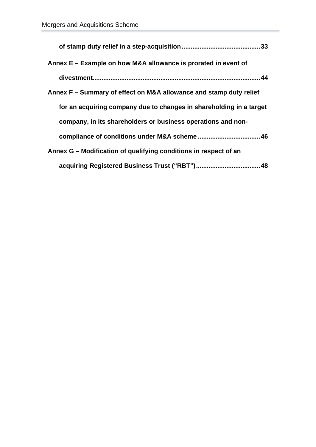| .33                                                                 |
|---------------------------------------------------------------------|
| Annex E - Example on how M&A allowance is prorated in event of      |
|                                                                     |
| Annex F – Summary of effect on M&A allowance and stamp duty relief  |
| for an acquiring company due to changes in shareholding in a target |
| company, in its shareholders or business operations and non-        |
|                                                                     |
| Annex G – Modification of qualifying conditions in respect of an    |
|                                                                     |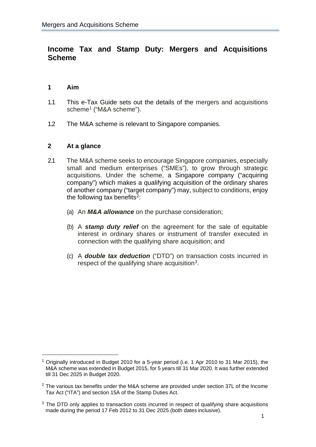# **Income Tax and Stamp Duty: Mergers and Acquisitions Scheme**

# <span id="page-4-0"></span>**1 Aim**

- 1.1 This e-Tax Guide sets out the details of the mergers and acquisitions scheme<sup>1</sup> ("M&A scheme").
- 1.2 The M&A scheme is relevant to Singapore companies.

#### <span id="page-4-1"></span>**2 At a glance**

- 2.1 The M&A scheme seeks to encourage Singapore companies, especially small and medium enterprises ("SMEs"), to grow through strategic acquisitions. Under the scheme, a Singapore company ("acquiring company") which makes a qualifying acquisition of the ordinary shares of another company ("target company") may, subject to conditions, enjoy the following tax benefits<sup>2</sup>:
	- (a) An *M&A allowance* on the purchase consideration;
	- (b) A *stamp duty relief* on the agreement for the sale of equitable interest in ordinary shares or instrument of transfer executed in connection with the qualifying share acquisition; and
	- (c) A *double tax deduction* ("DTD") on transaction costs incurred in respect of the qualifying share acquisition[3.](#page-4-4)

<span id="page-4-2"></span><sup>1</sup> Originally introduced in Budget 2010 for a 5-year period (i.e. 1 Apr 2010 to 31 Mar 2015), the M&A scheme was extended in Budget 2015, for 5 years till 31 Mar 2020. It was further extended till 31 Dec 2025 in Budget 2020.

<span id="page-4-3"></span> $2$  The various tax benefits under the M&A scheme are provided under section 37L of the Income Tax Act ("ITA") and section 15A of the Stamp Duties Act.

<span id="page-4-4"></span> $3$  The DTD only applies to transaction costs incurred in respect of qualifying share acquisitions made during the period 17 Feb 2012 to 31 Dec 2025 (both dates inclusive).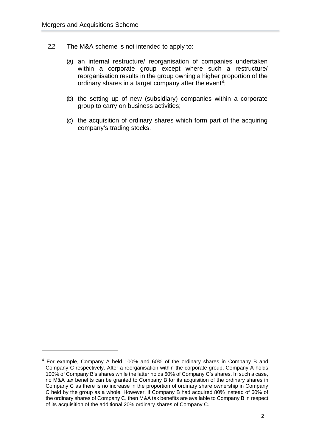- 2.2 The M&A scheme is not intended to apply to:
	- (a) an internal restructure/ reorganisation of companies undertaken within a corporate group except where such a restructure/ reorganisation results in the group owning a higher proportion of the ordinary shares in a target company after the event<sup>[4](#page-5-0)</sup>;
	- (b) the setting up of new (subsidiary) companies within a corporate group to carry on business activities;
	- (c) the acquisition of ordinary shares which form part of the acquiring company's trading stocks.

<span id="page-5-0"></span><sup>&</sup>lt;sup>4</sup> For example, Company A held 100% and 60% of the ordinary shares in Company B and Company C respectively. After a reorganisation within the corporate group, Company A holds 100% of Company B's shares while the latter holds 60% of Company C's shares. In such a case, no M&A tax benefits can be granted to Company B for its acquisition of the ordinary shares in Company C as there is no increase in the proportion of ordinary share ownership in Company C held by the group as a whole. However, if Company B had acquired 80% instead of 60% of the ordinary shares of Company C, then M&A tax benefits are available to Company B in respect of its acquisition of the additional 20% ordinary shares of Company C.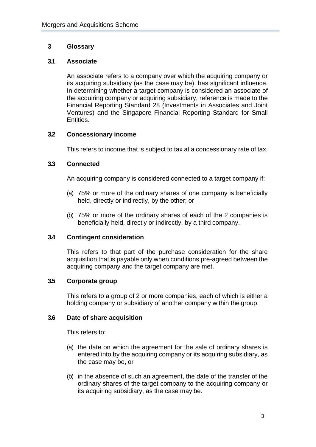# <span id="page-6-0"></span>**3 Glossary**

#### **3.1 Associate**

An associate refers to a company over which the acquiring company or its acquiring subsidiary (as the case may be), has significant influence. In determining whether a target company is considered an associate of the acquiring company or acquiring subsidiary, reference is made to the Financial Reporting Standard 28 (Investments in Associates and Joint Ventures) and the Singapore Financial Reporting Standard for Small Entities.

## **3.2 Concessionary income**

This refers to income that is subject to tax at a concessionary rate of tax.

## **3.3 Connected**

An acquiring company is considered connected to a target company if:

- (a) 75% or more of the ordinary shares of one company is beneficially held, directly or indirectly, by the other; or
- (b) 75% or more of the ordinary shares of each of the 2 companies is beneficially held, directly or indirectly, by a third company.

#### **3.4 Contingent consideration**

This refers to that part of the purchase consideration for the share acquisition that is payable only when conditions pre-agreed between the acquiring company and the target company are met.

#### **3.5 Corporate group**

This refers to a group of 2 or more companies, each of which is either a holding company or subsidiary of another company within the group.

#### **3.6 Date of share acquisition**

This refers to:

- (a) the date on which the agreement for the sale of ordinary shares is entered into by the acquiring company or its acquiring subsidiary, as the case may be, or
- (b) in the absence of such an agreement, the date of the transfer of the ordinary shares of the target company to the acquiring company or its acquiring subsidiary, as the case may be.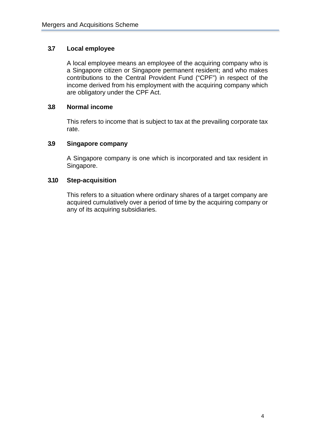# **3.7 Local employee**

A local employee means an employee of the acquiring company who is a Singapore citizen or Singapore permanent resident; and who makes contributions to the Central Provident Fund ("CPF") in respect of the income derived from his employment with the acquiring company which are obligatory under the CPF Act.

#### **3.8 Normal income**

This refers to income that is subject to tax at the prevailing corporate tax rate.

#### **3.9 Singapore company**

A Singapore company is one which is incorporated and tax resident in Singapore.

#### **3.10 Step-acquisition**

This refers to a situation where ordinary shares of a target company are acquired cumulatively over a period of time by the acquiring company or any of its acquiring subsidiaries.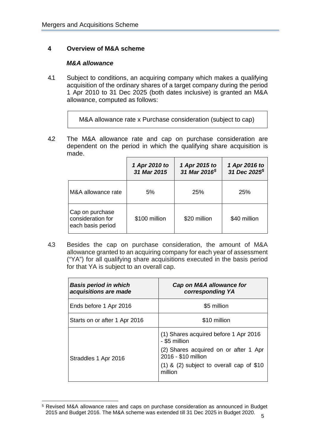# <span id="page-8-0"></span>**4 Overview of M&A scheme**

#### *M&A allowance*

4.1 Subject to conditions, an acquiring company which makes a qualifying acquisition of the ordinary shares of a target company during the period 1 Apr 2010 to 31 Dec 2025 (both dates inclusive) is granted an M&A allowance, computed as follows:

M&A allowance rate x Purchase consideration (subject to cap)

4.2 The M&A allowance rate and cap on purchase consideration are dependent on the period in which the qualifying share acquisition is made.

<span id="page-8-1"></span>

|                                                           | 1 Apr 2010 to<br>31 Mar 2015 | 1 Apr 2015 to<br>31 Mar 2016 <sup>5</sup> | 1 Apr 2016 to<br>31 Dec 2025 <sup>5</sup> |
|-----------------------------------------------------------|------------------------------|-------------------------------------------|-------------------------------------------|
| M&A allowance rate                                        | 5%                           | 25%                                       | 25%                                       |
| Cap on purchase<br>consideration for<br>each basis period | \$100 million                | \$20 million                              | \$40 million                              |

4.3 Besides the cap on purchase consideration, the amount of M&A allowance granted to an acquiring company for each year of assessment ("YA") for all qualifying share acquisitions executed in the basis period for that YA is subject to an overall cap.

| <b>Basis period in which</b><br>acquisitions are made | Cap on M&A allowance for<br>corresponding YA                 |
|-------------------------------------------------------|--------------------------------------------------------------|
| Ends before 1 Apr 2016                                | \$5 million                                                  |
| Starts on or after 1 Apr 2016                         | \$10 million                                                 |
|                                                       | (1) Shares acquired before 1 Apr 2016<br>- \$5 million       |
| Straddles 1 Apr 2016                                  | (2) Shares acquired on or after 1 Apr<br>2016 - \$10 million |
|                                                       | $(1)$ & $(2)$ subject to overall cap of \$10<br>million      |

<span id="page-8-2"></span><sup>5</sup> <sup>5</sup> Revised M&A allowance rates and caps on purchase consideration as announced in Budget 2015 and Budget 2016. The M&A scheme was extended till 31 Dec 2025 in Budget 2020.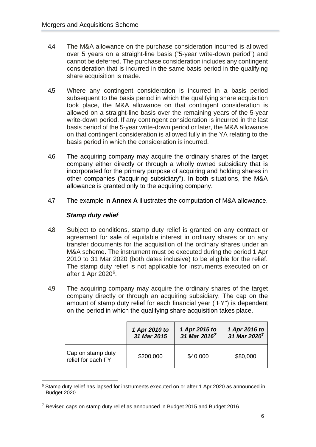- 4.4 The M&A allowance on the purchase consideration incurred is allowed over 5 years on a straight-line basis ("5-year write-down period") and cannot be deferred. The purchase consideration includes any contingent consideration that is incurred in the same basis period in the qualifying share acquisition is made.
- 4.5 Where any contingent consideration is incurred in a basis period subsequent to the basis period in which the qualifying share acquisition took place, the M&A allowance on that contingent consideration is allowed on a straight-line basis over the remaining years of the 5-year write-down period. If any contingent consideration is incurred in the last basis period of the 5-year write-down period or later, the M&A allowance on that contingent consideration is allowed fully in the YA relating to the basis period in which the consideration is incurred.
- 4.6 The acquiring company may acquire the ordinary shares of the target company either directly or through a wholly owned subsidiary that is incorporated for the primary purpose of acquiring and holding shares in other companies ("acquiring subsidiary"). In both situations, the M&A allowance is granted only to the acquiring company.
- 4.7 The example in **Annex A** illustrates the computation of M&A allowance.

# *Stamp duty relief*

- 4.8 Subject to conditions, stamp duty relief is granted on any contract or agreement for sale of equitable interest in ordinary shares or on any transfer documents for the acquisition of the ordinary shares under an M&A scheme. The instrument must be executed during the period 1 Apr 2010 to 31 Mar 2020 (both dates inclusive) to be eligible for the relief. The stamp duty relief is not applicable for instruments executed on or after 1 Apr 2020[6.](#page-9-1)
- 4.9 The acquiring company may acquire the ordinary shares of the target company directly or through an acquiring subsidiary. The cap on the amount of stamp duty relief for each financial year ("FY") is dependent on the period in which the qualifying share acquisition takes place.

<span id="page-9-0"></span>

|                                         | 1 Apr 2010 to | 1 Apr 2015 to            | 1 Apr 2016 to            |
|-----------------------------------------|---------------|--------------------------|--------------------------|
|                                         | 31 Mar 2015   | 31 Mar 2016 <sup>7</sup> | 31 Mar 2020 <sup>7</sup> |
| Cap on stamp duty<br>relief for each FY | \$200,000     | \$40,000                 | \$80,000                 |

<span id="page-9-1"></span><sup>&</sup>lt;sup>6</sup> Stamp duty relief has lapsed for instruments executed on or after 1 Apr 2020 as announced in Budget 2020.

<span id="page-9-2"></span> $7$  Revised caps on stamp duty relief as announced in Budget 2015 and Budget 2016.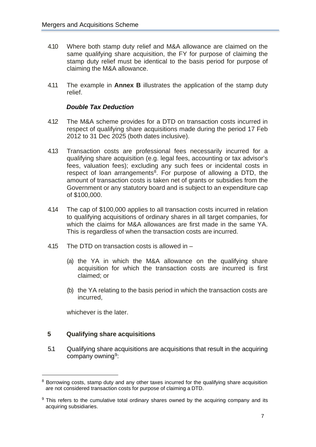- 4.10 Where both stamp duty relief and M&A allowance are claimed on the same qualifying share acquisition, the FY for purpose of claiming the stamp duty relief must be identical to the basis period for purpose of claiming the M&A allowance.
- 4.11 The example in **Annex B** illustrates the application of the stamp duty relief.

#### *Double Tax Deduction*

- 4.12 The M&A scheme provides for a DTD on transaction costs incurred in respect of qualifying share acquisitions made during the period 17 Feb 2012 to 31 Dec 2025 (both dates inclusive).
- 4.13 Transaction costs are professional fees necessarily incurred for a qualifying share acquisition (e.g. legal fees, accounting or tax advisor's fees, valuation fees); excluding any such fees or incidental costs in respect of loan arrangements<sup>8</sup>. For purpose of allowing a DTD, the amount of transaction costs is taken net of grants or subsidies from the Government or any statutory board and is subject to an expenditure cap of \$100,000.
- 4.14 The cap of \$100,000 applies to all transaction costs incurred in relation to qualifying acquisitions of ordinary shares in all target companies, for which the claims for M&A allowances are first made in the same YA. This is regardless of when the transaction costs are incurred.
- 4.15 The DTD on transaction costs is allowed in
	- (a) the YA in which the M&A allowance on the qualifying share acquisition for which the transaction costs are incurred is first claimed; or
	- (b) the YA relating to the basis period in which the transaction costs are incurred,

whichever is the later.

#### <span id="page-10-0"></span>**5 Qualifying share acquisitions**

5.1 Qualifying share acquisitions are acquisitions that result in the acquiring company owning<sup>9</sup>:

<span id="page-10-1"></span><sup>&</sup>lt;sup>8</sup> Borrowing costs, stamp duty and any other taxes incurred for the qualifying share acquisition are not considered transaction costs for purpose of claiming a DTD.

<span id="page-10-2"></span> $9$  This refers to the cumulative total ordinary shares owned by the acquiring company and its acquiring subsidiaries.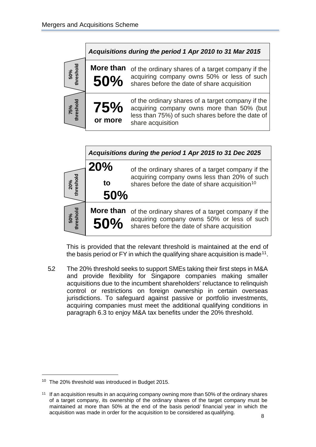



This is provided that the relevant threshold is maintained at the end of the basis period or FY in which the qualifying share acquisition is made<sup>[11](#page-11-1)</sup>.

5.2 The 20% threshold seeks to support SMEs taking their first steps in M&A and provide flexibility for Singapore companies making smaller acquisitions due to the incumbent shareholders' reluctance to relinquish control or restrictions on foreign ownership in certain overseas jurisdictions. To safeguard against passive or portfolio investments, acquiring companies must meet the additional qualifying conditions in paragraph 6.3 to enjoy M&A tax benefits under the 20% threshold.

<span id="page-11-0"></span><sup>&</sup>lt;sup>10</sup> The 20% threshold was introduced in Budget 2015.

<span id="page-11-1"></span><sup>&</sup>lt;sup>11</sup> If an acquisition results in an acquiring company owning more than 50% of the ordinary shares of a target company, its ownership of the ordinary shares of the target company must be maintained at more than 50% at the end of the basis period/ financial year in which the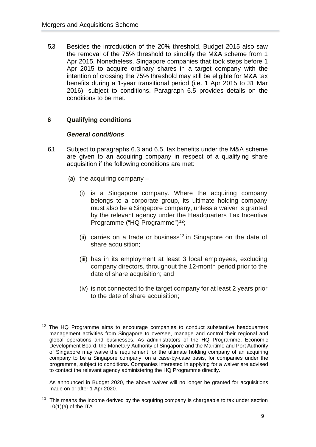5.3 Besides the introduction of the 20% threshold, Budget 2015 also saw the removal of the 75% threshold to simplify the M&A scheme from 1 Apr 2015. Nonetheless, Singapore companies that took steps before 1 Apr 2015 to acquire ordinary shares in a target company with the intention of crossing the 75% threshold may still be eligible for M&A tax benefits during a 1-year transitional period (i.e. 1 Apr 2015 to 31 Mar 2016), subject to conditions. Paragraph 6.5 provides details on the conditions to be met.

# <span id="page-12-0"></span>**6 Qualifying conditions**

#### *General conditions*

- 6.1 Subject to paragraphs 6.3 and 6.5, tax benefits under the M&A scheme are given to an acquiring company in respect of a qualifying share acquisition if the following conditions are met:
	- (a) the acquiring company
		- (i) is a Singapore company. Where the acquiring company belongs to a corporate group, its ultimate holding company must also be a Singapore company, unless a waiver is granted by the relevant agency under the Headquarters Tax Incentive Programme ("HQ Programme")<sup>[12](#page-12-1)</sup>;
		- (ii) carries on a trade or business<sup>[13](#page-12-2)</sup> in Singapore on the date of share acquisition;
		- (iii) has in its employment at least 3 local employees, excluding company directors, throughout the 12-month period prior to the date of share acquisition; and
		- (iv) is not connected to the target company for at least 2 years prior to the date of share acquisition;

As announced in Budget 2020, the above waiver will no longer be granted for acquisitions made on or after 1 Apr 2020.

<span id="page-12-2"></span> $13$  This means the income derived by the acquiring company is chargeable to tax under section  $10(1)(a)$  of the ITA.

<span id="page-12-1"></span> $12$  The HQ Programme aims to encourage companies to conduct substantive headquarters management activities from Singapore to oversee, manage and control their regional and global operations and businesses. As administrators of the HQ Programme, Economic Development Board, the Monetary Authority of Singapore and the Maritime and Port Authority of Singapore may waive the requirement for the ultimate holding company of an acquiring company to be a Singapore company, on a case-by-case basis, for companies under the programme, subject to conditions. Companies interested in applying for a waiver are advised to contact the relevant agency administering the HQ Programme directly.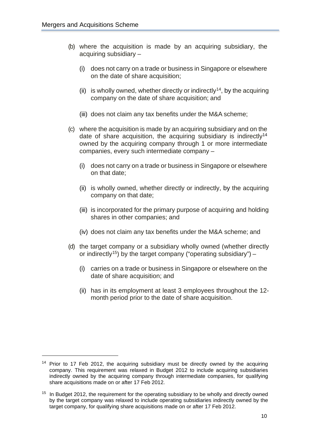- (b) where the acquisition is made by an acquiring subsidiary, the acquiring subsidiary –
	- (i) does not carry on a trade or business in Singapore or elsewhere on the date of share acquisition;
	- (ii) is wholly owned, whether directly or indirectly<sup>14</sup>, by the acquiring company on the date of share acquisition; and
	- (iii) does not claim any tax benefits under the M&A scheme;
- <span id="page-13-0"></span>(c) where the acquisition is made by an acquiring subsidiary and on the date of share acquisition, the acquiring subsidiary is indirectly<sup>14</sup> owned by the acquiring company through 1 or more intermediate companies, every such intermediate company –
	- (i) does not carry on a trade or business in Singapore or elsewhere on that date;
	- (ii) is wholly owned, whether directly or indirectly, by the acquiring company on that date;
	- (iii) is incorporated for the primary purpose of acquiring and holding shares in other companies; and
	- (iv) does not claim any tax benefits under the M&A scheme; and
- (d) the target company or a subsidiary wholly owned (whether directly or indirectly<sup>15</sup>) by the target company ("operating subsidiary") –
	- (i) carries on a trade or business in Singapore or elsewhere on the date of share acquisition; and
	- (ii) has in its employment at least 3 employees throughout the 12 month period prior to the date of share acquisition.

<span id="page-13-1"></span><sup>&</sup>lt;sup>14</sup> Prior to 17 Feb 2012, the acquiring subsidiary must be directly owned by the acquiring company. This requirement was relaxed in Budget 2012 to include acquiring subsidiaries indirectly owned by the acquiring company through intermediate companies, for qualifying share acquisitions made on or after 17 Feb 2012.

<span id="page-13-2"></span> $15$  In Budget 2012, the requirement for the operating subsidiary to be wholly and directly owned by the target company was relaxed to include operating subsidiaries indirectly owned by the target company, for qualifying share acquisitions made on or after 17 Feb 2012.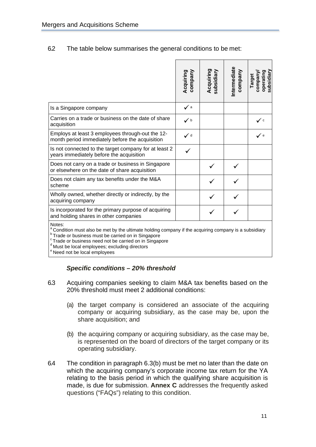#### 6.2 The table below summarises the general conditions to be met:

|                                                                                                                 | company<br>Acquiring | Acquiring<br>subsidiary | Intermediate<br>company | operating<br>subsidiary<br>vueduos<br>Target |
|-----------------------------------------------------------------------------------------------------------------|----------------------|-------------------------|-------------------------|----------------------------------------------|
| Is a Singapore company                                                                                          | $\checkmark$ a       |                         |                         |                                              |
| Carries on a trade or business on the date of share<br>acquisition                                              | $\checkmark$         |                         |                         | $\checkmark$                                 |
| Employs at least 3 employees through-out the 12-<br>month period immediately before the acquisition             | $\checkmark$         |                         |                         | $\checkmark$ e                               |
| Is not connected to the target company for at least 2<br>years immediately before the acquisition               |                      |                         |                         |                                              |
| Does not carry on a trade or business in Singapore<br>or elsewhere on the date of share acquisition             |                      |                         |                         |                                              |
| Does not claim any tax benefits under the M&A<br>scheme                                                         |                      |                         |                         |                                              |
| Wholly owned, whether directly or indirectly, by the<br>acquiring company                                       |                      |                         |                         |                                              |
| Is incorporated for the primary purpose of acquiring<br>and holding shares in other companies                   |                      |                         |                         |                                              |
| Notes:<br>a Condition must also be met by the ultimate holding company if the acquiring company is a subsidiary |                      |                         |                         |                                              |

**b** Trade or business must be carried on in Singapore

c Trade or business need not be carried on in Singapore d Must be local employees; excluding directors

<sup>e</sup> Need not be local employees

#### *Specific conditions – 20% threshold*

- 6.3 Acquiring companies seeking to claim M&A tax benefits based on the 20% threshold must meet 2 additional conditions:
	- (a) the target company is considered an associate of the acquiring company or acquiring subsidiary, as the case may be, upon the share acquisition; and
	- (b) the acquiring company or acquiring subsidiary, as the case may be, is represented on the board of directors of the target company or its operating subsidiary.
- 6.4 The condition in paragraph 6.3(b) must be met no later than the date on which the acquiring company's corporate income tax return for the YA relating to the basis period in which the qualifying share acquisition is made, is due for submission. **Annex C** addresses the frequently asked questions ("FAQs") relating to this condition.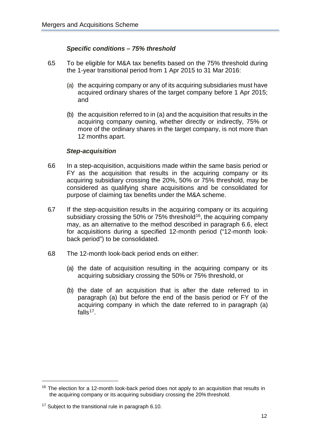# *Specific conditions – 75% threshold*

- 6.5 To be eligible for M&A tax benefits based on the 75% threshold during the 1-year transitional period from 1 Apr 2015 to 31 Mar 2016:
	- (a) the acquiring company or any of its acquiring subsidiaries must have acquired ordinary shares of the target company before 1 Apr 2015; and
	- (b) the acquisition referred to in (a) and the acquisition that results in the acquiring company owning, whether directly or indirectly, 75% or more of the ordinary shares in the target company, is not more than 12 months apart.

#### *Step-acquisition*

- 6.6 In a step-acquisition, acquisitions made within the same basis period or FY as the acquisition that results in the acquiring company or its acquiring subsidiary crossing the 20%, 50% or 75% threshold, may be considered as qualifying share acquisitions and be consolidated for purpose of claiming tax benefits under the M&A scheme.
- 6.7 If the step-acquisition results in the acquiring company or its acquiring subsidiary crossing the 50% or 75% threshold<sup>16</sup>, the acquiring company may, as an alternative to the method described in paragraph 6.6, elect for acquisitions during a specified 12-month period ("12-month lookback period") to be consolidated.
- 6.8 The 12-month look-back period ends on either:
	- (a) the date of acquisition resulting in the acquiring company or its acquiring subsidiary crossing the 50% or 75% threshold, or
	- (b) the date of an acquisition that is after the date referred to in paragraph (a) but before the end of the basis period or FY of the acquiring company in which the date referred to in paragraph (a) falls $17$ .

<span id="page-15-0"></span> $16$  The election for a 12-month look-back period does not apply to an acquisition that results in the acquiring company or its acquiring subsidiary crossing the 20% threshold.

<span id="page-15-1"></span><sup>&</sup>lt;sup>17</sup> Subject to the transitional rule in paragraph 6.10.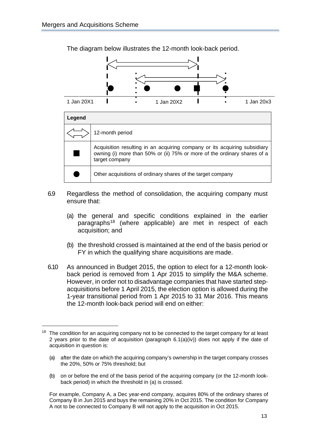

The diagram below illustrates the 12-month look-back period.



- 6.9 Regardless the method of consolidation, the acquiring company must ensure that:
	- (a) the general and specific conditions explained in the earlier paragraphs<sup>[18](#page-16-0)</sup> (where applicable) are met in respect of each acquisition; and
	- (b) the threshold crossed is maintained at the end of the basis period or FY in which the qualifying share acquisitions are made.
- 6.10 As announced in Budget 2015, the option to elect for a 12-month lookback period is removed from 1 Apr 2015 to simplify the M&A scheme. However, in order not to disadvantage companies that have started stepacquisitions before 1 April 2015, the election option is allowed during the 1-year transitional period from 1 Apr 2015 to 31 Mar 2016. This means the 12-month look-back period will end on either:

(b) on or before the end of the basis period of the acquiring company (or the 12-month lookback period) in which the threshold in (a) is crossed.

For example, Company A, a Dec year-end company, acquires 80% of the ordinary shares of Company B in Jun 2015 and buys the remaining 20% in Oct 2015. The condition for Company A not to be connected to Company B will not apply to the acquisition in Oct 2015.

<span id="page-16-0"></span> $18$  The condition for an acquiring company not to be connected to the target company for at least 2 years prior to the date of acquisition (paragraph  $6.1(a)(iv)$ ) does not apply if the date of acquisition in question is:

<sup>(</sup>a) after the date on which the acquiring company's ownership in the target company crosses the 20%, 50% or 75% threshold; but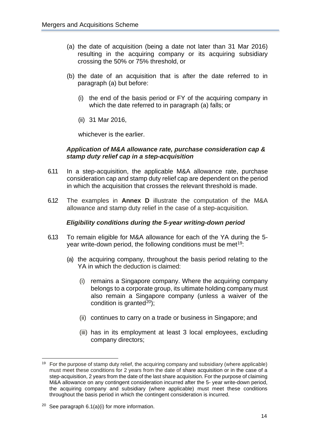- (a) the date of acquisition (being a date not later than 31 Mar 2016) resulting in the acquiring company or its acquiring subsidiary crossing the 50% or 75% threshold, or
- (b) the date of an acquisition that is after the date referred to in paragraph (a) but before:
	- (i) the end of the basis period or FY of the acquiring company in which the date referred to in paragraph (a) falls; or
	- (ii) 31 Mar 2016,

whichever is the earlier.

#### *Application of M&A allowance rate, purchase consideration cap & stamp duty relief cap in a step-acquisition*

- 6.11 In a step-acquisition, the applicable M&A allowance rate, purchase consideration cap and stamp duty relief cap are dependent on the period in which the acquisition that crosses the relevant threshold is made.
- 6.12 The examples in **Annex D** illustrate the computation of the M&A allowance and stamp duty relief in the case of a step-acquisition.

## *Eligibility conditions during the 5-year writing-down period*

- 6.13 To remain eligible for M&A allowance for each of the YA during the 5- year write-down period, the following conditions must be met<sup>[19](#page-17-0)</sup>:
	- (a) the acquiring company, throughout the basis period relating to the YA in which the deduction is claimed:
		- (i) remains a Singapore company. Where the acquiring company belongs to a corporate group, its ultimate holding company must also remain a Singapore company (unless a waiver of the condition is granted $^{20}$ );
		- (ii) continues to carry on a trade or business in Singapore; and
		- (iii) has in its employment at least 3 local employees, excluding company directors;

<span id="page-17-0"></span> $19$  For the purpose of stamp duty relief, the acquiring company and subsidiary (where applicable) must meet these conditions for 2 years from the date of share acquisition or in the case of a step-acquisition, 2 years from the date of the last share acquisition. For the purpose of claiming M&A allowance on any contingent consideration incurred after the 5- year write-down period, the acquiring company and subsidiary (where applicable) must meet these conditions throughout the basis period in which the contingent consideration is incurred.

<span id="page-17-1"></span> $20$  See paragraph 6.1(a)(i) for more information.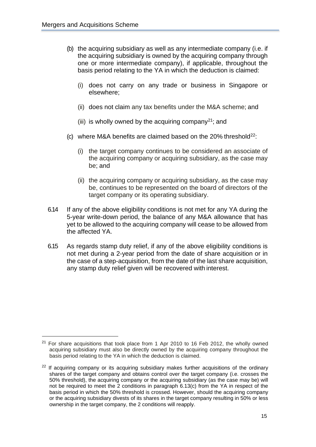- (b) the acquiring subsidiary as well as any intermediate company (i.e. if the acquiring subsidiary is owned by the acquiring company through one or more intermediate company), if applicable, throughout the basis period relating to the YA in which the deduction is claimed:
	- (i) does not carry on any trade or business in Singapore or elsewhere;
	- (ii) does not claim any tax benefits under the M&A scheme; and
	- (iii) is wholly owned by the acquiring company<sup>21</sup>; and
- (c) where M&A benefits are claimed based on the  $20\%$  threshold<sup>[22](#page-18-1)</sup>:
	- (i) the target company continues to be considered an associate of the acquiring company or acquiring subsidiary, as the case may be; and
	- (ii) the acquiring company or acquiring subsidiary, as the case may be, continues to be represented on the board of directors of the target company or its operating subsidiary.
- 6.14 If any of the above eligibility conditions is not met for any YA during the 5-year write-down period, the balance of any M&A allowance that has yet to be allowed to the acquiring company will cease to be allowed from the affected YA.
- 6.15 As regards stamp duty relief, if any of the above eligibility conditions is not met during a 2-year period from the date of share acquisition or in the case of a step-acquisition, from the date of the last share acquisition, any stamp duty relief given will be recovered with interest.

<span id="page-18-0"></span><sup>&</sup>lt;sup>21</sup> For share acquisitions that took place from 1 Apr 2010 to 16 Feb 2012, the wholly owned acquiring subsidiary must also be directly owned by the acquiring company throughout the basis period relating to the YA in which the deduction is claimed.

<span id="page-18-1"></span><sup>&</sup>lt;sup>22</sup> If acquiring company or its acquiring subsidiary makes further acquisitions of the ordinary shares of the target company and obtains control over the target company (i.e. crosses the 50% threshold), the acquiring company or the acquiring subsidiary (as the case may be) will not be required to meet the 2 conditions in paragraph 6.13(c) from the YA in respect of the basis period in which the 50% threshold is crossed. However, should the acquiring company or the acquiring subsidiary divests of its shares in the target company resulting in 50% or less ownership in the target company, the 2 conditions will reapply.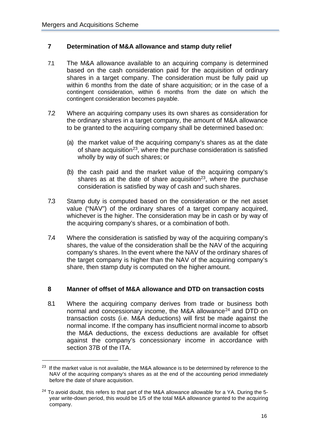#### <span id="page-19-0"></span>**7 Determination of M&A allowance and stamp duty relief**

- 7.1 The M&A allowance available to an acquiring company is determined based on the cash consideration paid for the acquisition of ordinary shares in a target company. The consideration must be fully paid up within 6 months from the date of share acquisition; or in the case of a contingent consideration, within 6 months from the date on which the contingent consideration becomes payable.
- <span id="page-19-2"></span>7.2 Where an acquiring company uses its own shares as consideration for the ordinary shares in a target company, the amount of M&A allowance to be granted to the acquiring company shall be determined based on:
	- (a) the market value of the acquiring company's shares as at the date of share acquisition<sup>[23](#page-19-3)</sup>, where the purchase consideration is satisfied wholly by way of such shares; or
	- (b) the cash paid and the market value of the acquiring company's shares as at the date of share acquisition<sup>23</sup>, where the purchase consideration is satisfied by way of cash and such shares.
- 7.3 Stamp duty is computed based on the consideration or the net asset value ("NAV") of the ordinary shares of a target company acquired, whichever is the higher. The consideration may be in cash or by way of the acquiring company's shares, or a combination of both.
- 7.4 Where the consideration is satisfied by way of the acquiring company's shares, the value of the consideration shall be the NAV of the acquiring company's shares. In the event where the NAV of the ordinary shares of the target company is higher than the NAV of the acquiring company's share, then stamp duty is computed on the higher amount.

#### <span id="page-19-1"></span>**8 Manner of offset of M&A allowance and DTD on transaction costs**

8.1 Where the acquiring company derives from trade or business both normal and concessionary income, the M&A allowance<sup>[24](#page-19-4)</sup> and DTD on transaction costs (i.e. M&A deductions) will first be made against the normal income. If the company has insufficient normal income to absorb the M&A deductions, the excess deductions are available for offset against the company's concessionary income in accordance with section 37B of the ITA.

<span id="page-19-3"></span><sup>&</sup>lt;sup>23</sup> If the market value is not available, the M&A allowance is to be determined by reference to the NAV of the acquiring company's shares as at the end of the accounting period immediately before the date of share acquisition.

<span id="page-19-4"></span> $24$  To avoid doubt, this refers to that part of the M&A allowance allowable for a YA. During the 5year write-down period, this would be 1/5 of the total M&A allowance granted to the acquiring company.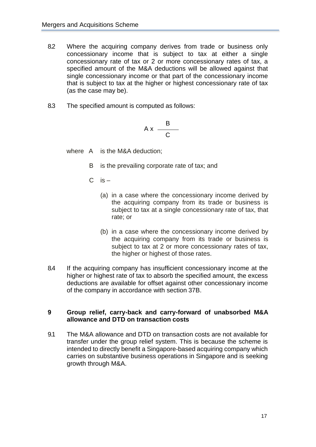- 8.2 Where the acquiring company derives from trade or business only concessionary income that is subject to tax at either a single concessionary rate of tax or 2 or more concessionary rates of tax, a specified amount of the M&A deductions will be allowed against that single concessionary income or that part of the concessionary income that is subject to tax at the higher or highest concessionary rate of tax (as the case may be).
- 8.3 The specified amount is computed as follows:

$$
Ax \frac{B}{C}
$$

where A is the M&A deduction;

- B is the prevailing corporate rate of tax; and
- $C$  is  $-$ 
	- (a) in a case where the concessionary income derived by the acquiring company from its trade or business is subject to tax at a single concessionary rate of tax, that rate; or
	- (b) in a case where the concessionary income derived by the acquiring company from its trade or business is subject to tax at 2 or more concessionary rates of tax, the higher or highest of those rates.
- 8.4 If the acquiring company has insufficient concessionary income at the higher or highest rate of tax to absorb the specified amount, the excess deductions are available for offset against other concessionary income of the company in accordance with section 37B.

#### <span id="page-20-0"></span>**9 Group relief, carry-back and carry-forward of unabsorbed M&A allowance and DTD on transaction costs**

9.1 The M&A allowance and DTD on transaction costs are not available for transfer under the group relief system. This is because the scheme is intended to directly benefit a Singapore-based acquiring company which carries on substantive business operations in Singapore and is seeking growth through M&A.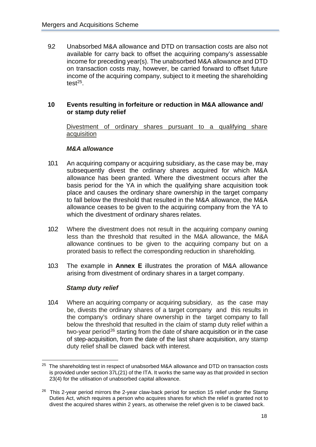9.2 Unabsorbed M&A allowance and DTD on transaction costs are also not available for carry back to offset the acquiring company's assessable income for preceding year(s). The unabsorbed M&A allowance and DTD on transaction costs may, however, be carried forward to offset future income of the acquiring company, subject to it meeting the shareholding test $25$ .

#### <span id="page-21-0"></span>**10 Events resulting in forfeiture or reduction in M&A allowance and/ or stamp duty relief**

Divestment of ordinary shares pursuant to a qualifying share acquisition

#### *M&A allowance*

- 10.1 An acquiring company or acquiring subsidiary, as the case may be, may subsequently divest the ordinary shares acquired for which M&A allowance has been granted. Where the divestment occurs after the basis period for the YA in which the qualifying share acquisition took place and causes the ordinary share ownership in the target company to fall below the threshold that resulted in the M&A allowance, the M&A allowance ceases to be given to the acquiring company from the YA to which the divestment of ordinary shares relates.
- 10.2 Where the divestment does not result in the acquiring company owning less than the threshold that resulted in the M&A allowance, the M&A allowance continues to be given to the acquiring company but on a prorated basis to reflect the corresponding reduction in shareholding.
- 10.3 The example in **Annex E** illustrates the proration of M&A allowance arising from divestment of ordinary shares in a target company.

#### *Stamp duty relief*

10.4 Where an acquiring company or acquiring subsidiary, as the case may be, divests the ordinary shares of a target company and this results in the company's ordinary share ownership in the target company to fall below the threshold that resulted in the claim of stamp duty relief within a two-year period<sup>[26](#page-21-2)</sup> starting from the date of share acquisition or in the case of step-acquisition, from the date of the last share acquisition, any stamp duty relief shall be clawed back with interest.

<span id="page-21-1"></span> $25$  The shareholding test in respect of unabsorbed M&A allowance and DTD on transaction costs is provided under section 37L(21) of the ITA. It works the same way as that provided in section 23(4) for the utilisation of unabsorbed capital allowance.

<span id="page-21-2"></span> $26$  This 2-year period mirrors the 2-year claw-back period for section 15 relief under the Stamp Duties Act, which requires a person who acquires shares for which the relief is granted not to divest the acquired shares within 2 years, as otherwise the relief given is to be clawed back.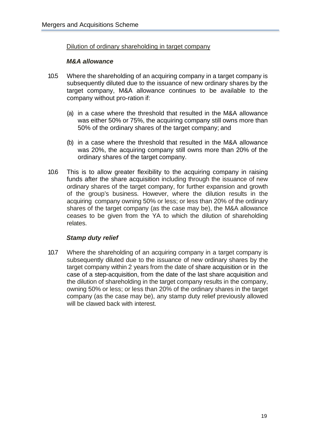Dilution of ordinary shareholding in target company

#### *M&A allowance*

- 10.5 Where the shareholding of an acquiring company in a target company is subsequently diluted due to the issuance of new ordinary shares by the target company, M&A allowance continues to be available to the company without pro-ration if:
	- (a) in a case where the threshold that resulted in the M&A allowance was either 50% or 75%, the acquiring company still owns more than 50% of the ordinary shares of the target company; and
	- (b) in a case where the threshold that resulted in the M&A allowance was 20%, the acquiring company still owns more than 20% of the ordinary shares of the target company.
- 10.6 This is to allow greater flexibility to the acquiring company in raising funds after the share acquisition including through the issuance of new ordinary shares of the target company, for further expansion and growth of the group's business. However, where the dilution results in the acquiring company owning 50% or less; or less than 20% of the ordinary shares of the target company (as the case may be), the M&A allowance ceases to be given from the YA to which the dilution of shareholding relates.

#### *Stamp duty relief*

10.7 Where the shareholding of an acquiring company in a target company is subsequently diluted due to the issuance of new ordinary shares by the target company within 2 years from the date of share acquisition or in the case of a step-acquisition, from the date of the last share acquisition and the dilution of shareholding in the target company results in the company, owning 50% or less; or less than 20% of the ordinary shares in the target company (as the case may be), any stamp duty relief previously allowed will be clawed back with interest.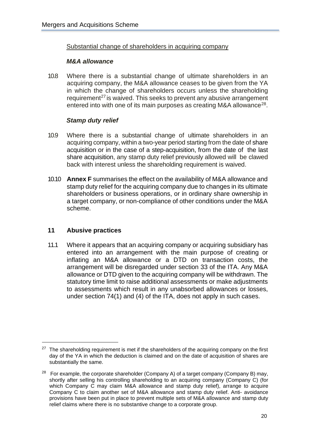#### Substantial change of shareholders in acquiring company

#### *M&A allowance*

10.8 Where there is a substantial change of ultimate shareholders in an acquiring company, the M&A allowance ceases to be given from the YA in which the change of shareholders occurs unless the shareholding requirement<sup>[27](#page-23-1)</sup> is waived. This seeks to prevent any abusive arrangement entered into with one of its main purposes as creating M&A allowance<sup>28</sup>.

# *Stamp duty relief*

- 10.9 Where there is a substantial change of ultimate shareholders in an acquiring company, within a two-year period starting from the date of share acquisition or in the case of a step-acquisition, from the date of the last share acquisition, any stamp duty relief previously allowed will be clawed back with interest unless the shareholding requirement is waived.
- 10.10 **Annex F** summarises the effect on the availability of M&A allowance and stamp duty relief for the acquiring company due to changes in its ultimate shareholders or business operations, or in ordinary share ownership in a target company, or non-compliance of other conditions under the M&A scheme.

#### <span id="page-23-0"></span>**11 Abusive practices**

11.1 Where it appears that an acquiring company or acquiring subsidiary has entered into an arrangement with the main purpose of creating or inflating an M&A allowance or a DTD on transaction costs, the arrangement will be disregarded under section 33 of the ITA. Any M&A allowance or DTD given to the acquiring company will be withdrawn. The statutory time limit to raise additional assessments or make adjustments to assessments which result in any unabsorbed allowances or losses, under section 74(1) and (4) of the ITA, does not apply in such cases.

<span id="page-23-1"></span> $27$  The shareholding requirement is met if the shareholders of the acquiring company on the first day of the YA in which the deduction is claimed and on the date of acquisition of shares are substantially the same.

<span id="page-23-2"></span><sup>&</sup>lt;sup>28</sup> For example, the corporate shareholder (Company A) of a target company (Company B) may, shortly after selling his controlling shareholding to an acquiring company (Company C) (for which Company C may claim M&A allowance and stamp duty relief), arrange to acquire Company C to claim another set of M&A allowance and stamp duty relief. Anti- avoidance provisions have been put in place to prevent multiple sets of M&A allowance and stamp duty relief claims where there is no substantive change to a corporate group.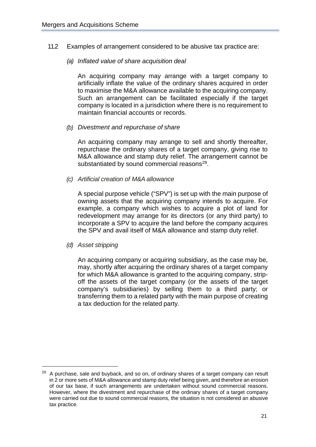- 11.2 Examples of arrangement considered to be abusive tax practice are:
	- *(a) Inflated value of share acquisition deal*

An acquiring company may arrange with a target company to artificially inflate the value of the ordinary shares acquired in order to maximise the M&A allowance available to the acquiring company. Such an arrangement can be facilitated especially if the target company is located in a jurisdiction where there is no requirement to maintain financial accounts or records.

*(b) Divestment and repurchase of share*

An acquiring company may arrange to sell and shortly thereafter, repurchase the ordinary shares of a target company, giving rise to M&A allowance and stamp duty relief. The arrangement cannot be substantiated by sound commercial reasons<sup>[29](#page-24-0)</sup>.

*(c) Artificial creation of M&A allowance*

A special purpose vehicle ("SPV") is set up with the main purpose of owning assets that the acquiring company intends to acquire. For example, a company which wishes to acquire a plot of land for redevelopment may arrange for its directors (or any third party) to incorporate a SPV to acquire the land before the company acquires the SPV and avail itself of M&A allowance and stamp duty relief.

*(d) Asset stripping*

An acquiring company or acquiring subsidiary, as the case may be, may, shortly after acquiring the ordinary shares of a target company for which M&A allowance is granted to the acquiring company, stripoff the assets of the target company (or the assets of the target company's subsidiaries) by selling them to a third party; or transferring them to a related party with the main purpose of creating a tax deduction for the related party.

<span id="page-24-0"></span> $29$  A purchase, sale and buyback, and so on, of ordinary shares of a target company can result in 2 or more sets of M&A allowance and stamp duty relief being given, and therefore an erosion of our tax base, if such arrangements are undertaken without sound commercial reasons. However, where the divestment and repurchase of the ordinary shares of a target company were carried out due to sound commercial reasons, the situation is not considered an abusive tax practice.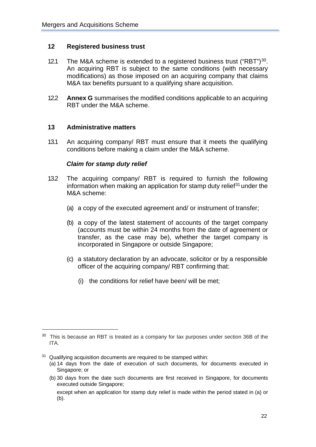#### <span id="page-25-0"></span>**12 Registered business trust**

- 12.1 The M&A scheme is extended to a registered business trust ("RBT")<sup>30</sup>. An acquiring RBT is subject to the same conditions (with necessary modifications) as those imposed on an acquiring company that claims M&A tax benefits pursuant to a qualifying share acquisition.
- 12.2 **Annex G** summarises the modified conditions applicable to an acquiring RBT under the M&A scheme.

#### <span id="page-25-1"></span>**13 Administrative matters**

13.1 An acquiring company/ RBT must ensure that it meets the qualifying conditions before making a claim under the M&A scheme.

#### *Claim for stamp duty relief*

- 13.2 The acquiring company/ RBT is required to furnish the following information when making an application for stamp duty relief $31$  under the M&A scheme:
	- (a) a copy of the executed agreement and/ or instrument of transfer;
	- (b) a copy of the latest statement of accounts of the target company (accounts must be within 24 months from the date of agreement or transfer, as the case may be), whether the target company is incorporated in Singapore or outside Singapore;
	- (c) a statutory declaration by an advocate, solicitor or by a responsible officer of the acquiring company/ RBT confirming that:
		- (i) the conditions for relief have been/ will be met;

<span id="page-25-3"></span> $31$  Qualifying acquisition documents are required to be stamped within:

(b) 30 days from the date such documents are first received in Singapore, for documents executed outside Singapore;

<span id="page-25-2"></span><sup>&</sup>lt;sup>30</sup> This is because an RBT is treated as a company for tax purposes under section 36B of the ITA.

<sup>(</sup>a) 14 days from the date of execution of such documents, for documents executed in Singapore; or

except when an application for stamp duty relief is made within the period stated in (a) or (b).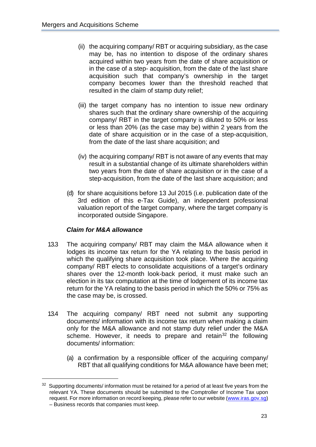- (ii) the acquiring company/ RBT or acquiring subsidiary, as the case may be, has no intention to dispose of the ordinary shares acquired within two years from the date of share acquisition or in the case of a step- acquisition, from the date of the last share acquisition such that company's ownership in the target company becomes lower than the threshold reached that resulted in the claim of stamp duty relief;
- (iii) the target company has no intention to issue new ordinary shares such that the ordinary share ownership of the acquiring company/ RBT in the target company is diluted to 50% or less or less than 20% (as the case may be) within 2 years from the date of share acquisition or in the case of a step-acquisition, from the date of the last share acquisition; and
- (iv) the acquiring company/ RBT is not aware of any events that may result in a substantial change of its ultimate shareholders within two years from the date of share acquisition or in the case of a step-acquisition, from the date of the last share acquisition; and
- (d) for share acquisitions before 13 Jul 2015 (i.e. publication date of the 3rd edition of this e-Tax Guide), an independent professional valuation report of the target company, where the target company is incorporated outside Singapore.

# *Claim for M&A allowance*

- 13.3 The acquiring company/ RBT may claim the M&A allowance when it lodges its income tax return for the YA relating to the basis period in which the qualifying share acquisition took place. Where the acquiring company/ RBT elects to consolidate acquisitions of a target's ordinary shares over the 12-month look-back period, it must make such an election in its tax computation at the time of lodgement of its income tax return for the YA relating to the basis period in which the 50% or 75% as the case may be, is crossed.
- 13.4 The acquiring company/ RBT need not submit any supporting documents/ information with its income tax return when making a claim only for the M&A allowance and not stamp duty relief under the M&A scheme. However, it needs to prepare and retain<sup>[32](#page-26-0)</sup> the following documents/ information:
	- (a) a confirmation by a responsible officer of the acquiring company/ RBT that all qualifying conditions for M&A allowance have been met;

<span id="page-26-0"></span> $32$  Supporting documents/ information must be retained for a period of at least five years from the relevant YA. These documents should be submitted to the Comptroller of Income Tax upon request. For more information on record keeping, please refer to our website [\(www.iras.gov.sg\)](http://www.iras.gov.sg/) – Business records that companies must keep.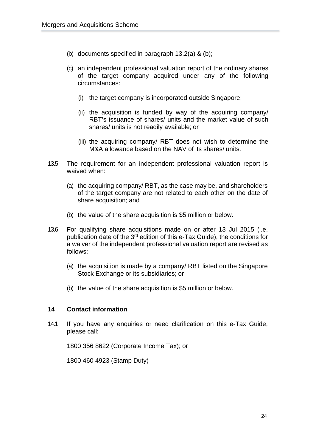- (b) documents specified in paragraph 13.2(a) & (b);
- (c) an independent professional valuation report of the ordinary shares of the target company acquired under any of the following circumstances:
	- (i) the target company is incorporated outside Singapore;
	- (ii) the acquisition is funded by way of the acquiring company/ RBT's issuance of shares/ units and the market value of such shares/ units is not readily available; or
	- (iii) the acquiring company/ RBT does not wish to determine the M&A allowance based on the NAV of its shares/ units.
- 13.5 The requirement for an independent professional valuation report is waived when:
	- (a) the acquiring company/ RBT, as the case may be, and shareholders of the target company are not related to each other on the date of share acquisition; and
	- (b) the value of the share acquisition is \$5 million or below.
- 13.6 For qualifying share acquisitions made on or after 13 Jul 2015 (i.e. publication date of the 3<sup>rd</sup> edition of this e-Tax Guide), the conditions for a waiver of the independent professional valuation report are revised as follows:
	- (a) the acquisition is made by a company/ RBT listed on the Singapore Stock Exchange or its subsidiaries; or
	- (b) the value of the share acquisition is \$5 million or below.

#### <span id="page-27-0"></span>**14 Contact information**

14.1 If you have any enquiries or need clarification on this e-Tax Guide, please call:

1800 356 8622 (Corporate Income Tax); or

1800 460 4923 (Stamp Duty)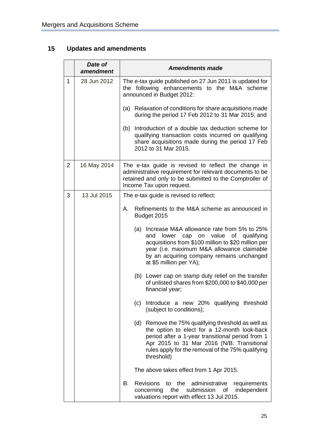# <span id="page-28-0"></span>**15 Updates and amendments**

|                | Date of<br>amendment | <b>Amendments made</b>                                                                                                                                                                                                                                                  |
|----------------|----------------------|-------------------------------------------------------------------------------------------------------------------------------------------------------------------------------------------------------------------------------------------------------------------------|
| $\mathbf{1}$   | 28 Jun 2012          | The e-tax guide published on 27 Jun 2011 is updated for<br>the following enhancements to the M&A scheme<br>announced in Budget 2012:                                                                                                                                    |
|                |                      | Relaxation of conditions for share acquisitions made<br>(a)<br>during the period 17 Feb 2012 to 31 Mar 2015; and                                                                                                                                                        |
|                |                      | Introduction of a double tax deduction scheme for<br>(b)<br>qualifying transaction costs incurred on qualifying<br>share acquisitions made during the period 17 Feb<br>2012 to 31 Mar 2015.                                                                             |
| $\overline{2}$ | 16 May 2014          | The e-tax guide is revised to reflect the change in<br>administrative requirement for relevant documents to be<br>retained and only to be submitted to the Comptroller of<br>Income Tax upon request.                                                                   |
| 3              | 13 Jul 2015          | The e-tax guide is revised to reflect:                                                                                                                                                                                                                                  |
|                |                      | Refinements to the M&A scheme as announced in<br>А.<br>Budget 2015                                                                                                                                                                                                      |
|                |                      | (a) Increase M&A allowance rate from 5% to 25%<br>lower cap on value of qualifying<br>and<br>acquisitions from \$100 million to \$20 million per<br>year (i.e. maximum M&A allowance claimable<br>by an acquiring company remains unchanged<br>at \$5 million per YA);  |
|                |                      | (b) Lower cap on stamp duty relief on the transfer<br>of unlisted shares from \$200,000 to \$40,000 per<br>financial year;                                                                                                                                              |
|                |                      | Introduce a new 20% qualifying threshold<br>(c)<br>(subject to conditions);                                                                                                                                                                                             |
|                |                      | (d) Remove the 75% qualifying threshold as well as<br>the option to elect for a 12-month look-back<br>period after a 1-year transitional period from 1<br>Apr 2015 to 31 Mar 2016 (N/B: Transitional<br>rules apply for the removal of the 75% qualifying<br>threshold) |
|                |                      | The above takes effect from 1 Apr 2015.                                                                                                                                                                                                                                 |
|                |                      | В.<br>Revisions to the administrative<br>requirements<br>concerning the submission of<br>independent<br>valuations report with effect 13 Jul 2015.                                                                                                                      |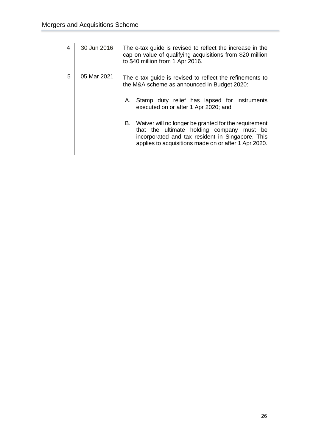| 4 | 30 Jun 2016 | The e-tax guide is revised to reflect the increase in the<br>cap on value of qualifying acquisitions from \$20 million<br>to \$40 million from 1 Apr 2016.                                                          |  |  |
|---|-------------|---------------------------------------------------------------------------------------------------------------------------------------------------------------------------------------------------------------------|--|--|
| 5 | 05 Mar 2021 | The e-tax guide is revised to reflect the refinements to<br>the M&A scheme as announced in Budget 2020:<br>Stamp duty relief has lapsed for instruments<br>А.<br>executed on or after 1 Apr 2020; and               |  |  |
|   |             | B.<br>Waiver will no longer be granted for the requirement<br>that the ultimate holding company must be<br>incorporated and tax resident in Singapore. This<br>applies to acquisitions made on or after 1 Apr 2020. |  |  |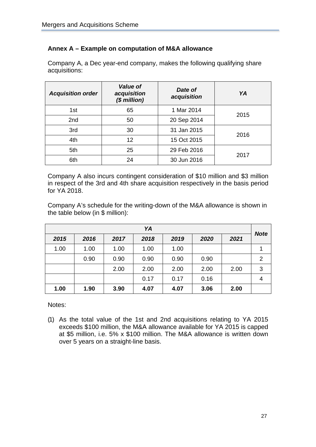# <span id="page-30-0"></span>**Annex A – Example on computation of M&A allowance**

Company A, a Dec year-end company, makes the following qualifying share acquisitions:

| <b>Value of</b><br>acquisition<br><b>Acquisition order</b><br>$$$ million) |    | Date of<br>acquisition | YA   |
|----------------------------------------------------------------------------|----|------------------------|------|
| 1st                                                                        | 65 | 1 Mar 2014             | 2015 |
| 2nd                                                                        | 50 | 20 Sep 2014            |      |
| 3rd                                                                        | 30 | 31 Jan 2015            |      |
| 4th                                                                        | 12 | 15 Oct 2015            | 2016 |
| 5th                                                                        | 25 | 29 Feb 2016            | 2017 |
| 6th                                                                        | 24 | 30 Jun 2016            |      |

Company A also incurs contingent consideration of \$10 million and \$3 million in respect of the 3rd and 4th share acquisition respectively in the basis period for YA 2018.

Company A's schedule for the writing-down of the M&A allowance is shown in the table below (in \$ million):

| YA   |      |      |      |      |      |      |             |
|------|------|------|------|------|------|------|-------------|
| 2015 | 2016 | 2017 | 2018 | 2019 | 2020 | 2021 | <b>Note</b> |
| 1.00 | 1.00 | 1.00 | 1.00 | 1.00 |      |      |             |
|      | 0.90 | 0.90 | 0.90 | 0.90 | 0.90 |      | 2           |
|      |      | 2.00 | 2.00 | 2.00 | 2.00 | 2.00 | 3           |
|      |      |      | 0.17 | 0.17 | 0.16 |      | 4           |
| 1.00 | 1.90 | 3.90 | 4.07 | 4.07 | 3.06 | 2.00 |             |

Notes:

(1) As the total value of the 1st and 2nd acquisitions relating to YA 2015 exceeds \$100 million, the M&A allowance available for YA 2015 is capped at \$5 million, i.e. 5% x \$100 million. The M&A allowance is written down over 5 years on a straight-line basis.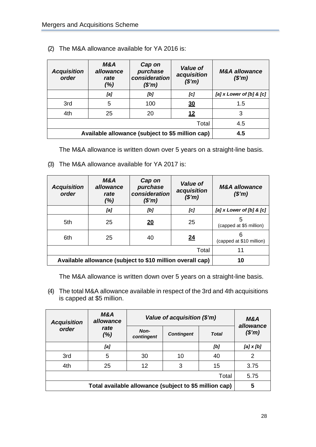| <b>Acquisition</b><br>order                      | M&A<br>allowance<br>rate<br>(%) | Cap on<br>purchase<br>consideration<br>(\$m) | <b>Value of</b><br>acquisition<br>(\$m) | <b>M&amp;A allowance</b><br>$(\$'m)$ |
|--------------------------------------------------|---------------------------------|----------------------------------------------|-----------------------------------------|--------------------------------------|
|                                                  | [a]                             | [b]                                          | [c]                                     | [a] x Lower of [b] & [c]             |
| 3rd                                              | 5                               | 100                                          | <u>30</u>                               | 1.5                                  |
| 4th                                              | 25                              | 20                                           | 12                                      | 3                                    |
|                                                  | 4.5                             |                                              |                                         |                                      |
| Available allowance (subject to \$5 million cap) | 4.5                             |                                              |                                         |                                      |

(2) The M&A allowance available for YA 2016 is:

The M&A allowance is written down over 5 years on a straight-line basis.

(3) The M&A allowance available for YA 2017 is:

| <b>Acquisition</b><br>order                               | M&A<br>allowance<br>rate<br>(% ) | Cap on<br>purchase<br>consideration<br>(\$m) | <b>Value of</b><br>acquisition<br>(\$m) | <b>M&amp;A allowance</b><br>$(\$'m)$ |
|-----------------------------------------------------------|----------------------------------|----------------------------------------------|-----------------------------------------|--------------------------------------|
|                                                           | [a]                              | [b]                                          | [c]                                     | [a] x Lower of [b] & [c]             |
| 5th                                                       | 25                               | <u> 20</u>                                   | 25                                      | 5<br>(capped at \$5 million)         |
| 6th                                                       | 25                               | 40                                           | 24                                      | 6<br>(capped at \$10 million)        |
|                                                           | 11                               |                                              |                                         |                                      |
| Available allowance (subject to \$10 million overall cap) | 10                               |                                              |                                         |                                      |

The M&A allowance is written down over 5 years on a straight-line basis.

(4) The total M&A allowance available in respect of the 3rd and 4th acquisitions is capped at \$5 million.

| M&A<br>allowance<br><b>Acquisition</b>                 |             | Value of acquisition (\$'m) | M&A<br>allowance  |              |           |
|--------------------------------------------------------|-------------|-----------------------------|-------------------|--------------|-----------|
| order                                                  | rate<br>(%) | Non-<br>contingent          | <b>Contingent</b> | <b>Total</b> | (\$m)     |
|                                                        | [a]         |                             |                   | [b]          | [a] x [b] |
| 3rd                                                    | 5           | 30                          | 10                | 40           | 2         |
| 4th                                                    | 25          | 12                          | 3                 | 15           | 3.75      |
|                                                        |             |                             |                   | Total        | 5.75      |
| Total available allowance (subject to \$5 million cap) |             |                             |                   | 5            |           |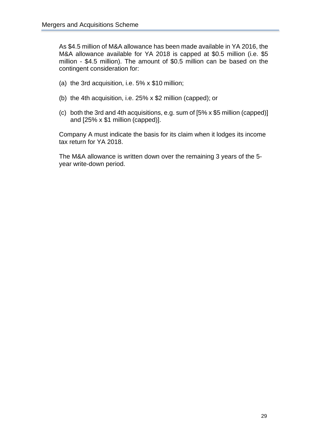As \$4.5 million of M&A allowance has been made available in YA 2016, the M&A allowance available for YA 2018 is capped at \$0.5 million (i.e. \$5 million - \$4.5 million). The amount of \$0.5 million can be based on the contingent consideration for:

- (a) the 3rd acquisition, i.e. 5% x \$10 million;
- (b) the 4th acquisition, i.e. 25% x \$2 million (capped); or
- (c) both the 3rd and 4th acquisitions, e.g. sum of [5% x \$5 million (capped)] and [25% x \$1 million (capped)].

Company A must indicate the basis for its claim when it lodges its income tax return for YA 2018.

The M&A allowance is written down over the remaining 3 years of the 5 year write-down period.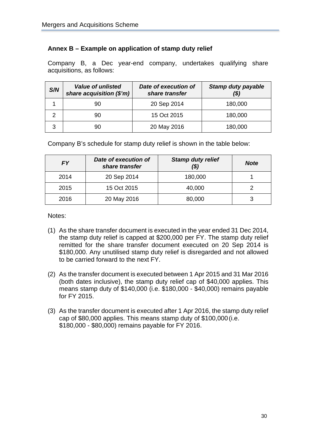# <span id="page-33-0"></span>**Annex B – Example on application of stamp duty relief**

Company B, a Dec year-end company, undertakes qualifying share acquisitions, as follows:

| S/N | <b>Value of unlisted</b><br>share acquisition (\$'m) | Date of execution of<br>share transfer | <b>Stamp duty payable</b><br>(\$) |
|-----|------------------------------------------------------|----------------------------------------|-----------------------------------|
|     | 90                                                   | 20 Sep 2014                            | 180,000                           |
|     | 90                                                   | 15 Oct 2015                            | 180,000                           |
| 3   |                                                      | 20 May 2016                            | 180,000                           |

Company B's schedule for stamp duty relief is shown in the table below:

| FΥ   | Date of execution of<br>share transfer | <b>Stamp duty relief</b><br>(\$) | <b>Note</b> |
|------|----------------------------------------|----------------------------------|-------------|
| 2014 | 20 Sep 2014                            | 180,000                          |             |
| 2015 | 15 Oct 2015                            | 40,000                           |             |
| 2016 | 20 May 2016                            | 80,000                           |             |

Notes:

- (1) As the share transfer document is executed in the year ended 31 Dec 2014, the stamp duty relief is capped at \$200,000 per FY. The stamp duty relief remitted for the share transfer document executed on 20 Sep 2014 is \$180,000. Any unutilised stamp duty relief is disregarded and not allowed to be carried forward to the next FY.
- (2) As the transfer document is executed between 1 Apr 2015 and 31 Mar 2016 (both dates inclusive), the stamp duty relief cap of \$40,000 applies. This means stamp duty of \$140,000 (i.e. \$180,000 - \$40,000) remains payable for FY 2015.
- (3) As the transfer document is executed after 1 Apr 2016, the stamp duty relief cap of \$80,000 applies. This means stamp duty of \$100,000 (i.e. \$180,000 - \$80,000) remains payable for FY 2016.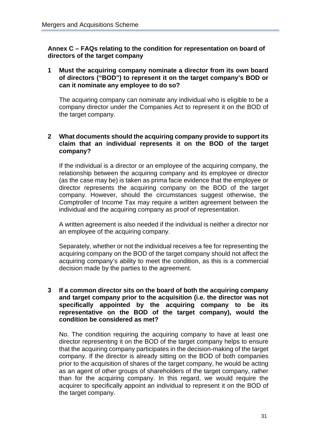<span id="page-34-0"></span>**Annex C – FAQs relating to the condition for representation on board of directors of the target company**

**1 Must the acquiring company nominate a director from its own board of directors ("BOD") to represent it on the target company's BOD or can it nominate any employee to do so?**

The acquiring company can nominate any individual who is eligible to be a company director under the Companies Act to represent it on the BOD of the target company.

#### **2 What documents should the acquiring company provide to support its claim that an individual represents it on the BOD of the target company?**

If the individual is a director or an employee of the acquiring company, the relationship between the acquiring company and its employee or director (as the case may be) is taken as prima facie evidence that the employee or director represents the acquiring company on the BOD of the target company. However, should the circumstances suggest otherwise, the Comptroller of Income Tax may require a written agreement between the individual and the acquiring company as proof of representation.

A written agreement is also needed if the individual is neither a director nor an employee of the acquiring company.

Separately, whether or not the individual receives a fee for representing the acquiring company on the BOD of the target company should not affect the acquiring company's ability to meet the condition, as this is a commercial decision made by the parties to the agreement.

#### **3 If a common director sits on the board of both the acquiring company and target company prior to the acquisition (i.e. the director was not specifically appointed by the acquiring company to be its representative on the BOD of the target company), would the condition be considered as met?**

No. The condition requiring the acquiring company to have at least one director representing it on the BOD of the target company helps to ensure that the acquiring company participates in the decision-making of the target company. If the director is already sitting on the BOD of both companies prior to the acquisition of shares of the target company, he would be acting as an agent of other groups of shareholders of the target company, rather than for the acquiring company. In this regard, we would require the acquirer to specifically appoint an individual to represent it on the BOD of the target company.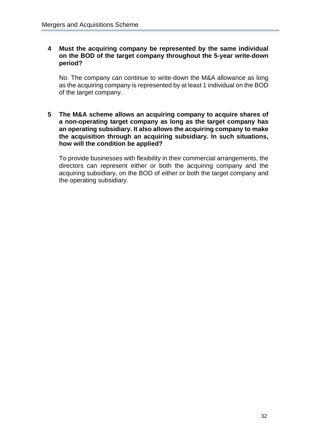#### **4 Must the acquiring company be represented by the same individual on the BOD of the target company throughout the 5-year write-down period?**

No. The company can continue to write-down the M&A allowance as long as the acquiring company is represented by at least 1 individual on the BOD of the target company.

**5 The M&A scheme allows an acquiring company to acquire shares of a non-operating target company as long as the target company has an operating subsidiary. It also allows the acquiring company to make the acquisition through an acquiring subsidiary. In such situations, how will the condition be applied?**

To provide businesses with flexibility in their commercial arrangements, the directors can represent either or both the acquiring company and the acquiring subsidiary, on the BOD of either or both the target company and the operating subsidiary.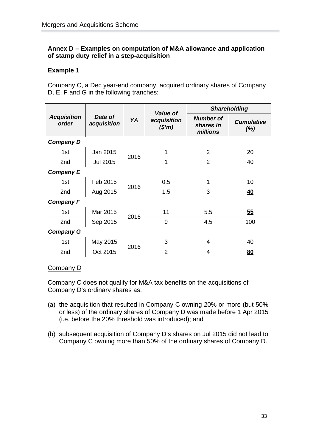# <span id="page-36-0"></span>**Annex D – Examples on computation of M&A allowance and application of stamp duty relief in a step-acquisition**

# **Example 1**

Company C, a Dec year-end company, acquired ordinary shares of Company D, E, F and G in the following tranches:

|                             |                        | <b>Value of</b> |                      | <b>Shareholding</b>                       |                          |
|-----------------------------|------------------------|-----------------|----------------------|-------------------------------------------|--------------------------|
| <b>Acquisition</b><br>order | Date of<br>acquisition | YA              | acquisition<br>(\$m) | <b>Number of</b><br>shares in<br>millions | <b>Cumulative</b><br>(%) |
| <b>Company D</b>            |                        |                 |                      |                                           |                          |
| 1st                         | Jan 2015               | 2016            | 1                    | $\overline{2}$                            | 20                       |
| 2 <sub>nd</sub>             | <b>Jul 2015</b>        |                 | 1                    | $\overline{2}$                            | 40                       |
| <b>Company E</b>            |                        |                 |                      |                                           |                          |
| 1st                         | Feb 2015               | 2016            | 0.5                  | 1                                         | 10                       |
| 2 <sub>nd</sub>             | Aug 2015               |                 | 1.5                  | 3                                         | <u>40</u>                |
| <b>Company F</b>            |                        |                 |                      |                                           |                          |
| 1st                         | Mar 2015               | 2016            | 11                   | 5.5                                       | 55                       |
| 2nd                         | Sep 2015               |                 | 9                    | 4.5                                       | 100                      |
| <b>Company G</b>            |                        |                 |                      |                                           |                          |
| 1st                         | May 2015               | 2016            | 3                    | 4                                         | 40                       |
| 2 <sub>nd</sub>             | Oct 2015               |                 | $\overline{2}$       | 4                                         | 80                       |

#### Company D

Company C does not qualify for M&A tax benefits on the acquisitions of Company D's ordinary shares as:

- (a) the acquisition that resulted in Company C owning 20% or more (but 50% or less) of the ordinary shares of Company D was made before 1 Apr 2015 (i.e. before the 20% threshold was introduced); and
- (b) subsequent acquisition of Company D's shares on Jul 2015 did not lead to Company C owning more than 50% of the ordinary shares of Company D.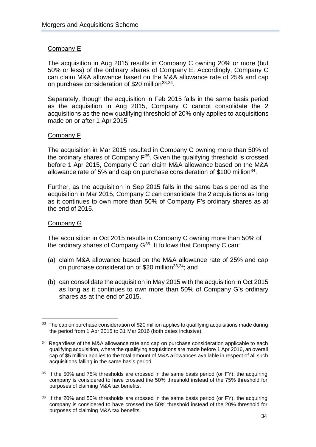# Company E

The acquisition in Aug 2015 results in Company C owning 20% or more (but 50% or less) of the ordinary shares of Company E. Accordingly, Company C can claim M&A allowance based on the M&A allowance rate of 25% and cap on purchase consideration of \$20 million<sup>[33](#page-37-2),34</sup>.

<span id="page-37-1"></span><span id="page-37-0"></span>Separately, though the acquisition in Feb 2015 falls in the same basis period as the acquisition in Aug 2015, Company C cannot consolidate the 2 acquisitions as the new qualifying threshold of 20% only applies to acquisitions made on or after 1 Apr 2015.

#### Company F

The acquisition in Mar 2015 resulted in Company C owning more than 50% of the ordinary shares of Company F<sup>[35](#page-37-4)</sup>. Given the qualifying threshold is crossed before 1 Apr 2015, Company C can claim M&A allowance based on the M&A allowance rate of 5% and cap on purchase consideration of \$100 million<sup>34</sup>.

Further, as the acquisition in Sep 2015 falls in the same basis period as the acquisition in Mar 2015, Company C can consolidate the 2 acquisitions as long as it continues to own more than 50% of Company F's ordinary shares as at the end of 2015.

#### Company G

The acquisition in Oct 2015 results in Company C owning more than 50% of the ordinary shares of Company  $G^{36}$ . It follows that Company C can:

- (a) claim M&A allowance based on the M&A allowance rate of 25% and cap on purchase consideration of \$20 million<sup>33,34</sup>; and
- (b) can consolidate the acquisition in May 2015 with the acquisition in Oct 2015 as long as it continues to own more than 50% of Company G's ordinary shares as at the end of 2015.

<span id="page-37-2"></span><sup>&</sup>lt;sup>33</sup> The cap on purchase consideration of \$20 million applies to qualifying acquisitions made during the period from 1 Apr 2015 to 31 Mar 2016 (both dates inclusive).

<span id="page-37-3"></span><sup>&</sup>lt;sup>34</sup> Regardless of the M&A allowance rate and cap on purchase consideration applicable to each qualifying acquisition, where the qualifying acquisitions are made before 1 Apr 2016, an overall cap of \$5 million applies to the total amount of M&A allowances available in respect of all such acquisitions falling in the same basis period.

<span id="page-37-4"></span> $35$  If the 50% and 75% thresholds are crossed in the same basis period (or FY), the acquiring company is considered to have crossed the 50% threshold instead of the 75% threshold for purposes of claiming M&A tax benefits.

<span id="page-37-5"></span><sup>&</sup>lt;sup>36</sup> If the 20% and 50% thresholds are crossed in the same basis period (or FY), the acquiring company is considered to have crossed the 50% threshold instead of the 20% threshold for purposes of claiming M&A tax benefits.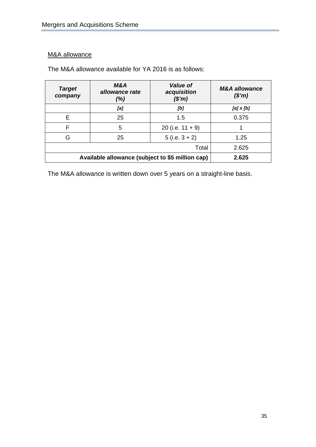# M&A allowance

The M&A allowance available for YA 2016 is as follows:

| <b>Target</b><br>company                         | <b>M&amp;A</b><br>allowance rate<br>(% ) | <b>Value of</b><br>acquisition<br>(\$m) | <b>M&amp;A allowance</b><br>$(\$'m)$ |
|--------------------------------------------------|------------------------------------------|-----------------------------------------|--------------------------------------|
|                                                  | [a]                                      | [b]                                     | [a] x [b]                            |
| F                                                | 25                                       | 1.5                                     | 0.375                                |
| F                                                | 5                                        | 20 (i.e. $11 + 9$ )                     |                                      |
| G                                                | 25                                       | $5$ (i.e. $3 + 2$ )                     | 1.25                                 |
|                                                  | 2.625                                    |                                         |                                      |
| Available allowance (subject to \$5 million cap) | 2.625                                    |                                         |                                      |

The M&A allowance is written down over 5 years on a straight-line basis.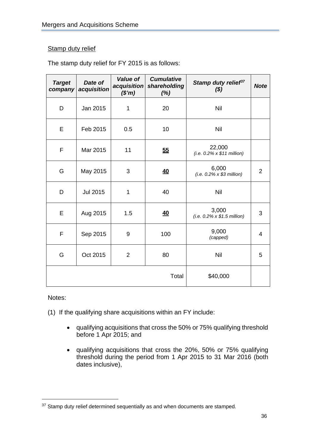#### Stamp duty relief

| The stamp duty relief for FY 2015 is as follows: |  |  |  |
|--------------------------------------------------|--|--|--|
|--------------------------------------------------|--|--|--|

| <b>Target</b><br>company | Date of<br>acquisition | <b>Value of</b><br>acquisition<br>(\$m) | <b>Cumulative</b><br>shareholding<br>$(\%)$ | Stamp duty relief <sup>37</sup><br>( \$)    | <b>Note</b>    |
|--------------------------|------------------------|-----------------------------------------|---------------------------------------------|---------------------------------------------|----------------|
| D                        | Jan 2015               | 1                                       | 20                                          | Nil                                         |                |
| E                        | Feb 2015               | 0.5                                     | 10                                          | Nil                                         |                |
| F                        | Mar 2015               | 11                                      | 55                                          | 22,000<br>$(i.e. 0.2\% \times $11$ million) |                |
| G                        | May 2015               | 3                                       | <u>40</u>                                   | 6,000<br>$(i.e. 0.2\% \times $3$ million)   | $\overline{2}$ |
| D                        | <b>Jul 2015</b>        | $\mathbf 1$                             | 40                                          | Nil                                         |                |
| E                        | Aug 2015               | 1.5                                     | 40                                          | 3,000<br>(i.e. $0.2\% \times $1.5$ million) | 3              |
| F                        | Sep 2015               | 9                                       | 100                                         | 9,000<br>(capped)                           | 4              |
| G                        | Oct 2015               | $\overline{2}$                          | 80                                          | Nil                                         | 5              |
|                          |                        |                                         | Total                                       | \$40,000                                    |                |

#### Notes:

- (1) If the qualifying share acquisitions within an FY include:
	- qualifying acquisitions that cross the 50% or 75% qualifying threshold before 1 Apr 2015; and
	- qualifying acquisitions that cross the 20%, 50% or 75% qualifying threshold during the period from 1 Apr 2015 to 31 Mar 2016 (both dates inclusive),

<span id="page-39-0"></span> $37$  Stamp duty relief determined sequentially as and when documents are stamped.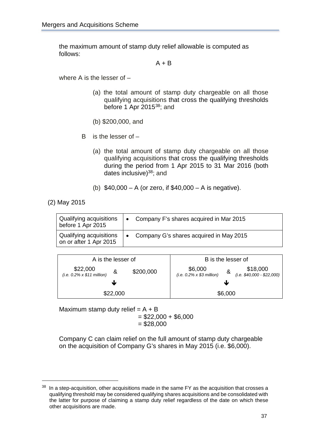the maximum amount of stamp duty relief allowable is computed as follows:

<span id="page-40-0"></span> $A + B$ 

where A is the lesser of –

- (a) the total amount of stamp duty chargeable on all those qualifying acquisitions that cross the qualifying thresholds before 1 Apr 2015<sup>38</sup>; and
- (b) \$200,000, and
- B is the lesser of
	- (a) the total amount of stamp duty chargeable on all those qualifying acquisitions that cross the qualifying thresholds during the period from 1 Apr 2015 to 31 Mar 2016 (both dates inclusive)<sup>38</sup>; and
	- (b) \$40,000 A (or zero, if \$40,000 A is negative).

(2) May 2015

| Qualifying acquisitions<br>before 1 Apr 2015      | $\bullet$ | Company F's shares acquired in Mar 2015 |
|---------------------------------------------------|-----------|-----------------------------------------|
| Qualifying acquisitions<br>on or after 1 Apr 2015 | $\bullet$ | Company G's shares acquired in May 2015 |



Maximum stamp duty relief  $= A + B$  $= $22,000 + $6,000$  $= $28,000$ 

Company C can claim relief on the full amount of stamp duty chargeable on the acquisition of Company G's shares in May 2015 (i.e. \$6,000).

<span id="page-40-1"></span> $38$  In a step-acquisition, other acquisitions made in the same FY as the acquisition that crosses a qualifying threshold may be considered qualifying shares acquisitions and be consolidated with the latter for purpose of claiming a stamp duty relief regardless of the date on which these other acquisitions are made.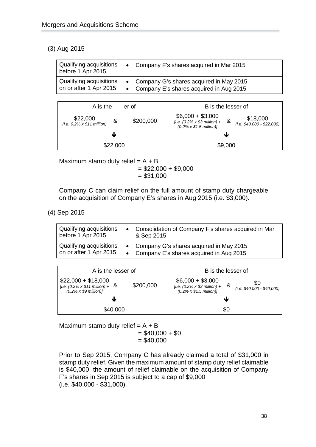# (3) Aug 2015

| Qualifying acquisitions                                  | Company F's shares acquired in Mar 2015                                                           |
|----------------------------------------------------------|---------------------------------------------------------------------------------------------------|
| before 1 Apr 2015                                        | $\bullet$                                                                                         |
| <b>Qualifying acquisitions</b><br>on or after 1 Apr 2015 | • Company G's shares acquired in May 2015<br>Company E's shares acquired in Aug 2015<br>$\bullet$ |



Maximum stamp duty relief  $= A + B$  $= $22,000 + $9,000$  $= $31,000$ 

Company C can claim relief on the full amount of stamp duty chargeable on the acquisition of Company E's shares in Aug 2015 (i.e. \$3,000).

(4) Sep 2015

| Qualifying acquisitions<br>before 1 Apr 2015      | $\bullet$ | Consolidation of Company F's shares acquired in Mar<br>& Sep 2015                    |
|---------------------------------------------------|-----------|--------------------------------------------------------------------------------------|
| Qualifying acquisitions<br>on or after 1 Apr 2015 | $\bullet$ | • Company G's shares acquired in May 2015<br>Company E's shares acquired in Aug 2015 |

| A is the lesser of                                                                                                    | B is the lesser of                                                                                                                                   |
|-----------------------------------------------------------------------------------------------------------------------|------------------------------------------------------------------------------------------------------------------------------------------------------|
| $$22,000 + $18,000$<br>\$200,000<br>[ <i>i.e.</i> (0.2% x \$11 million) + $\&$<br>$(0.2\% \times $9 \text{ million})$ | $$6,000 + $3,000$<br>\$0<br>_&<br>[i.e. $(0.2\% \times $3 \text{ million}) +$<br>$(i.e. $40,000 - $40,000)$<br>$(0.2\% \times $1.5 \text{ million})$ |
| J                                                                                                                     | w                                                                                                                                                    |
| \$40,000                                                                                                              | \$0                                                                                                                                                  |

Maximum stamp duty relief  $= A + B$  $= $40,000 + $0$  $= $40,000$ 

Prior to Sep 2015, Company C has already claimed a total of \$31,000 in stamp duty relief. Given the maximum amount of stamp duty relief claimable is \$40,000, the amount of relief claimable on the acquisition of Company F's shares in Sep 2015 is subject to a cap of \$9,000 (i.e. \$40,000 - \$31,000).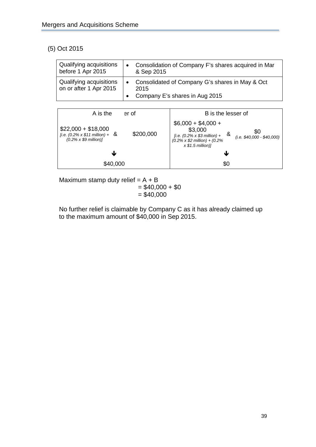# (5) Oct 2015

| <b>Qualifying acquisitions</b><br>before 1 Apr 2015 | Consolidation of Company F's shares acquired in Mar<br>$\bullet$<br>& Sep 2015                         |
|-----------------------------------------------------|--------------------------------------------------------------------------------------------------------|
| Qualifying acquisitions<br>on or after 1 Apr 2015   | Consolidated of Company G's shares in May & Oct<br>$\bullet$<br>2015<br>Company E's shares in Aug 2015 |



Maximum stamp duty relief  $= A + B$  $= $40,000 + $0$  $= $40,000$ 

No further relief is claimable by Company C as it has already claimed up to the maximum amount of \$40,000 in Sep 2015.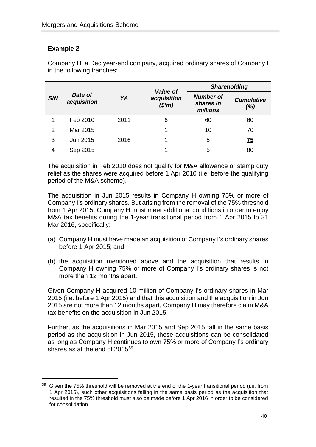# **Example 2**

Company H, a Dec year-end company, acquired ordinary shares of Company I in the following tranches:

|                |                        |      | <b>Value of</b>      | <b>Shareholding</b>                       |                           |
|----------------|------------------------|------|----------------------|-------------------------------------------|---------------------------|
| S/N            | Date of<br>acquisition | YA   | acquisition<br>(\$m) | <b>Number of</b><br>shares in<br>millions | <b>Cumulative</b><br>(% ) |
|                | Feb 2010               | 2011 | 6                    | 60                                        | 60                        |
| $\overline{2}$ | Mar 2015               |      |                      | 10                                        | 70                        |
| 3              | Jun 2015               | 2016 |                      | 5                                         | <u>75</u>                 |
| 4              | Sep 2015               |      |                      | 5                                         | 80                        |

The acquisition in Feb 2010 does not qualify for M&A allowance or stamp duty relief as the shares were acquired before 1 Apr 2010 (i.e. before the qualifying period of the M&A scheme).

The acquisition in Jun 2015 results in Company H owning 75% or more of Company I's ordinary shares. But arising from the removal of the 75% threshold from 1 Apr 2015, Company H must meet additional conditions in order to enjoy M&A tax benefits during the 1-year transitional period from 1 Apr 2015 to 31 Mar 2016, specifically:

- (a) Company H must have made an acquisition of Company I's ordinary shares before 1 Apr 2015; and
- (b) the acquisition mentioned above and the acquisition that results in Company H owning 75% or more of Company I's ordinary shares is not more than 12 months apart.

Given Company H acquired 10 million of Company I's ordinary shares in Mar 2015 (i.e. before 1 Apr 2015) and that this acquisition and the acquisition in Jun 2015 are not more than 12 months apart, Company H may therefore claim M&A tax benefits on the acquisition in Jun 2015.

Further, as the acquisitions in Mar 2015 and Sep 2015 fall in the same basis period as the acquisition in Jun 2015, these acquisitions can be consolidated as long as Company H continues to own 75% or more of Company I's ordinary shares as at the end of 2015<sup>[39](#page-43-0)</sup>.

<span id="page-43-0"></span><sup>&</sup>lt;sup>39</sup> Given the 75% threshold will be removed at the end of the 1-year transitional period (i.e. from 1 Apr 2016), such other acquisitions falling in the same basis period as the acquisition that resulted in the 75% threshold must also be made before 1 Apr 2016 in order to be considered for consolidation.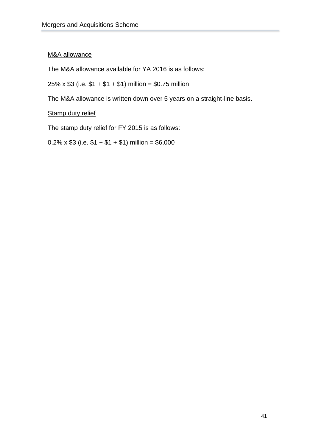# M&A allowance

The M&A allowance available for YA 2016 is as follows:

25% x  $$3$  (i.e.  $$1 + $1 + $1$ ) million = \$0.75 million

The M&A allowance is written down over 5 years on a straight-line basis.

# **Stamp duty relief**

The stamp duty relief for FY 2015 is as follows:

 $0.2\% \times $3$  (i.e.  $$1 + $1 + $1$ ) million = \$6,000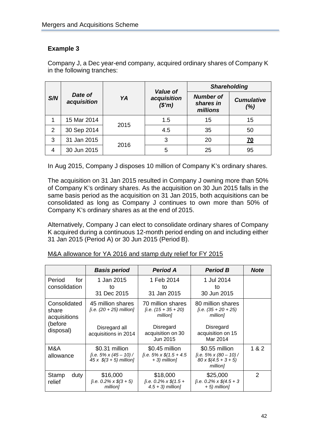# **Example 3**

Company J, a Dec year-end company, acquired ordinary shares of Company K in the following tranches:

|     |                        |      | <b>Value of</b>      | <b>Shareholding</b>                       |                           |
|-----|------------------------|------|----------------------|-------------------------------------------|---------------------------|
| S/N | Date of<br>acquisition | YA   | acquisition<br>(\$m) | <b>Number of</b><br>shares in<br>millions | <b>Cumulative</b><br>(% ) |
| 1   | 15 Mar 2014            | 2015 | 1.5                  | 15                                        | 15                        |
| 2   | 30 Sep 2014            |      | 4.5                  | 35                                        | 50                        |
| 3   | 31 Jan 2015            | 2016 | 3                    | 20                                        | <u>70</u>                 |
| 4   | 30 Jun 2015            |      | 5                    | 25                                        | 95                        |

In Aug 2015, Company J disposes 10 million of Company K's ordinary shares.

The acquisition on 31 Jan 2015 resulted in Company J owning more than 50% of Company K's ordinary shares. As the acquisition on 30 Jun 2015 falls in the same basis period as the acquisition on 31 Jan 2015, both acquisitions can be consolidated as long as Company J continues to own more than 50% of Company K's ordinary shares as at the end of 2015.

Alternatively, Company J can elect to consolidate ordinary shares of Company K acquired during a continuous 12-month period ending on and including either 31 Jan 2015 (Period A) or 30 Jun 2015 (Period B).

|                                                               | <b>Basis period</b>                                                                      | <b>Period A</b>                                                                                        | <b>Period B</b>                                                                                        | <b>Note</b>    |
|---------------------------------------------------------------|------------------------------------------------------------------------------------------|--------------------------------------------------------------------------------------------------------|--------------------------------------------------------------------------------------------------------|----------------|
| Period<br>for<br>consolidation                                | 1 Jan 2015<br>to<br>31 Dec 2015                                                          | 1 Feb 2014<br>to<br>31 Jan 2015                                                                        | 1 Jul 2014<br>to<br>30 Jun 2015                                                                        |                |
| Consolidated<br>share<br>acquisitions<br>(before<br>disposal) | 45 million shares<br>[i.e. $(20 + 25)$ million]<br>Disregard all<br>acquisitions in 2014 | 70 million shares<br>$[i.e. (15 + 35 + 20)]$<br>million]<br>Disregard<br>acquisition on 30<br>Jun 2015 | 80 million shares<br>$(i.e. (35 + 20 + 25))$<br>million]<br>Disregard<br>acquisition on 15<br>Mar 2014 |                |
| M&A<br>allowance                                              | \$0.31 million<br>[i.e. 5% x (45 – 10) /<br>$45 \times$ \$(3 + 5) million]               | \$0.45 million<br>[i.e. $5\% \times \$(1.5 + 4.5)$<br>$+3$ ) million]                                  | \$0.55 million<br>[i.e. 5% x (80 – 10) /<br>$80 \times \frac{6}{4.5} + 3 + 5$<br>million]              | 1 & 2          |
| Stamp<br>duty<br>relief                                       | \$16,000<br>[i.e. $0.2\% \times \$(3 + 5)$ ]<br>million]                                 | \$18,000<br>[i.e. $0.2\% \times \$(1.5 +$<br>$4.5 + 3$ ) million]                                      | \$25,000<br>[i.e. 0.2% x $$(4.5 + 3)$<br>$+ 5$ ) million]                                              | $\mathfrak{p}$ |

#### M&A allowance for YA 2016 and stamp duty relief for FY 2015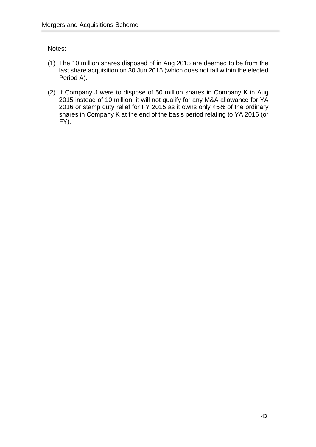Notes:

- (1) The 10 million shares disposed of in Aug 2015 are deemed to be from the last share acquisition on 30 Jun 2015 (which does not fall within the elected Period A).
- (2) If Company J were to dispose of 50 million shares in Company K in Aug 2015 instead of 10 million, it will not qualify for any M&A allowance for YA 2016 or stamp duty relief for FY 2015 as it owns only 45% of the ordinary shares in Company K at the end of the basis period relating to YA 2016 (or FY).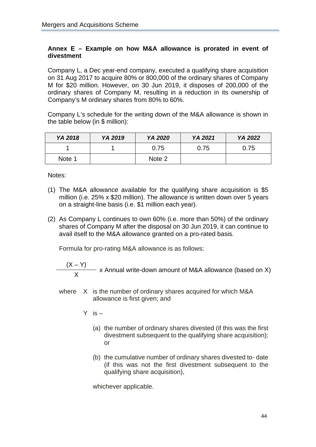# <span id="page-47-0"></span>**Annex E – Example on how M&A allowance is prorated in event of divestment**

Company L, a Dec year-end company, executed a qualifying share acquisition on 31 Aug 2017 to acquire 80% or 800,000 of the ordinary shares of Company M for \$20 million. However, on 30 Jun 2019, it disposes of 200,000 of the ordinary shares of Company M, resulting in a reduction in its ownership of Company's M ordinary shares from 80% to 60%.

Company L's schedule for the writing down of the M&A allowance is shown in the table below (in \$ million):

| YA 2018 | YA 2019 | YA 2020 | YA 2021 | YA 2022 |
|---------|---------|---------|---------|---------|
|         |         | 0.75    | 0.75    | 0.75    |
| Note 1  |         | Note 2  |         |         |

Notes:

- (1) The M&A allowance available for the qualifying share acquisition is \$5 million (i.e. 25% x \$20 million). The allowance is written down over 5 years on a straight-line basis (i.e. \$1 million each year).
- (2) As Company L continues to own 60% (i.e. more than 50%) of the ordinary shares of Company M after the disposal on 30 Jun 2019, it can continue to avail itself to the M&A allowance granted on a pro-rated basis.

Formula for pro-rating M&A allowance is as follows:

 $\frac{(X - Y)}{X}$  x Annual write-down amount of M&A allowance (based on X)

- where X is the number of ordinary shares acquired for which M&A allowance is first given; and
	- $Y$  is  $-$ 
		- (a) the number of ordinary shares divested (if this was the first divestment subsequent to the qualifying share acquisition); or
		- (b) the cumulative number of ordinary shares divested to- date (if this was not the first divestment subsequent to the qualifying share acquisition),

whichever applicable.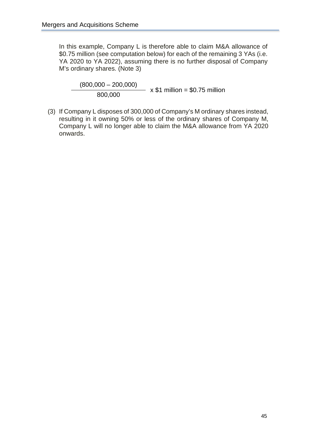In this example, Company L is therefore able to claim M&A allowance of \$0.75 million (see computation below) for each of the remaining 3 YAs (i.e. YA 2020 to YA 2022), assuming there is no further disposal of Company M's ordinary shares. (Note 3)

 $\frac{(800,000 - 200,000)}{800,000}$  x \$1 million = \$0.75 million

(3) If Company L disposes of 300,000 of Company's M ordinary shares instead, resulting in it owning 50% or less of the ordinary shares of Company M, Company L will no longer able to claim the M&A allowance from YA 2020 onwards.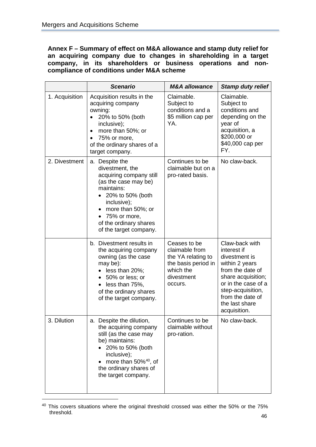<span id="page-49-0"></span>**Annex F – Summary of effect on M&A allowance and stamp duty relief for an acquiring company due to changes in shareholding in a target company, in its shareholders or business operations and noncompliance of conditions under M&A scheme**

|                | <b>Scenario</b>                                                                                                                                                                                                                    | <b>M&amp;A</b> allowance                                                                                          | <b>Stamp duty relief</b>                                                                                                                                                                                     |
|----------------|------------------------------------------------------------------------------------------------------------------------------------------------------------------------------------------------------------------------------------|-------------------------------------------------------------------------------------------------------------------|--------------------------------------------------------------------------------------------------------------------------------------------------------------------------------------------------------------|
| 1. Acquisition | Acquisition results in the<br>acquiring company<br>owning:<br>20% to 50% (both<br>inclusive);<br>more than 50%; or<br>$\bullet$<br>75% or more,<br>of the ordinary shares of a<br>target company.                                  | Claimable.<br>Subject to<br>conditions and a<br>\$5 million cap per<br>YA.                                        | Claimable.<br>Subject to<br>conditions and<br>depending on the<br>year of<br>acquisition, a<br>\$200,000 or<br>\$40,000 cap per<br>FY.                                                                       |
| 2. Divestment  | a. Despite the<br>divestment, the<br>acquiring company still<br>(as the case may be)<br>maintains:<br>• 20% to 50% (both<br>inclusive);<br>more than 50%; or<br>• 75% or more,<br>of the ordinary shares<br>of the target company. | Continues to be<br>claimable but on a<br>pro-rated basis.                                                         | No claw-back.                                                                                                                                                                                                |
|                | b. Divestment results in<br>the acquiring company<br>owning (as the case<br>may be):<br>less than 20%;<br>50% or less; or<br>$\bullet$<br>$\bullet$ less than 75%,<br>of the ordinary shares<br>of the target company.             | Ceases to be<br>claimable from<br>the YA relating to<br>the basis period in<br>which the<br>divestment<br>occurs. | Claw-back with<br>interest if<br>divestment is<br>within 2 years<br>from the date of<br>share acquisition;<br>or in the case of a<br>step-acquisition,<br>from the date of<br>the last share<br>acquisition. |
| 3. Dilution    | a. Despite the dilution,<br>the acquiring company<br>still (as the case may<br>be) maintains:<br>20% to 50% (both<br>inclusive);<br>more than $50\%$ <sup>40</sup> , of<br>the ordinary shares of<br>the target company.           | Continues to be<br>claimable without<br>pro-ration.                                                               | No claw-back.                                                                                                                                                                                                |

<span id="page-49-1"></span><sup>&</sup>lt;sup>40</sup> This covers situations where the original threshold crossed was either the 50% or the 75% threshold.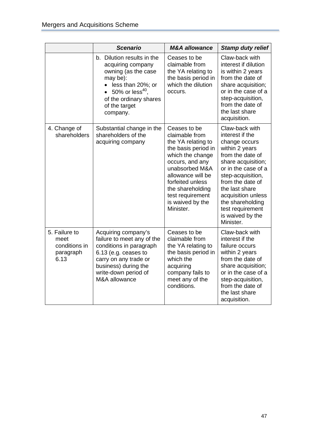|                                                             | <b>Scenario</b>                                                                                                                                                                                 | <b>M&amp;A</b> allowance                                                                                                                                                                                                                               | <b>Stamp duty relief</b>                                                                                                                                                                                                                                                                        |
|-------------------------------------------------------------|-------------------------------------------------------------------------------------------------------------------------------------------------------------------------------------------------|--------------------------------------------------------------------------------------------------------------------------------------------------------------------------------------------------------------------------------------------------------|-------------------------------------------------------------------------------------------------------------------------------------------------------------------------------------------------------------------------------------------------------------------------------------------------|
|                                                             | b. Dilution results in the<br>acquiring company<br>owning (as the case<br>may be):<br>less than 20%; or<br>• 50% or less <sup>40</sup> ,<br>of the ordinary shares<br>of the target<br>company. | Ceases to be<br>claimable from<br>the YA relating to<br>the basis period in<br>which the dilution<br>occurs.                                                                                                                                           | Claw-back with<br>interest if dilution<br>is within 2 years<br>from the date of<br>share acquisition;<br>or in the case of a<br>step-acquisition,<br>from the date of<br>the last share<br>acquisition.                                                                                         |
| 4. Change of<br>shareholders                                | Substantial change in the<br>shareholders of the<br>acquiring company                                                                                                                           | Ceases to be<br>claimable from<br>the YA relating to<br>the basis period in<br>which the change<br>occurs, and any<br>unabsorbed M&A<br>allowance will be<br>forfeited unless<br>the shareholding<br>test requirement<br>is waived by the<br>Minister. | Claw-back with<br>interest if the<br>change occurs<br>within 2 years<br>from the date of<br>share acquisition;<br>or in the case of a<br>step-acquisition,<br>from the date of<br>the last share<br>acquisition unless<br>the shareholding<br>test requirement<br>is waived by the<br>Minister. |
| 5. Failure to<br>meet<br>conditions in<br>paragraph<br>6.13 | Acquiring company's<br>failure to meet any of the<br>conditions in paragraph<br>6.13 (e.g. ceases to<br>carry on any trade or<br>business) during the<br>write-down period of<br>M&A allowance  | Ceases to be<br>claimable from<br>the YA relating to<br>the basis period in<br>which the<br>acquiring<br>company fails to<br>meet any of the<br>conditions.                                                                                            | Claw-back with<br>interest if the<br>failure occurs<br>within 2 years<br>from the date of<br>share acquisition;<br>or in the case of a<br>step-acquisition,<br>from the date of<br>the last share<br>acquisition.                                                                               |